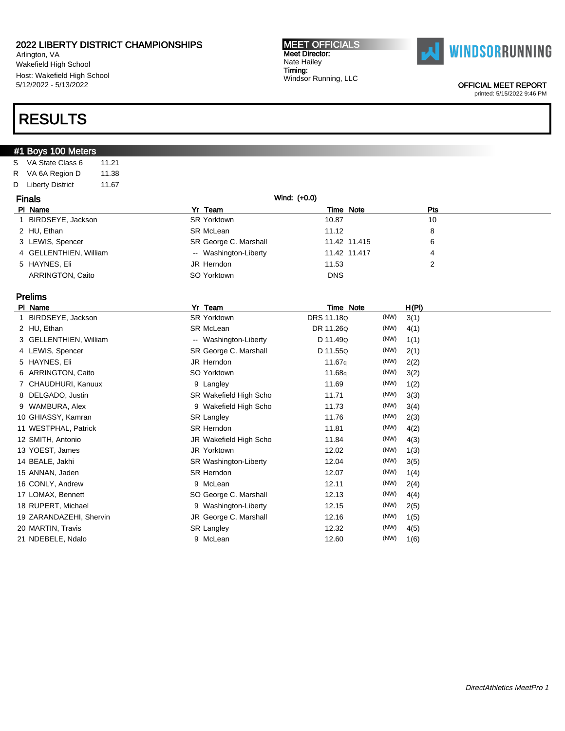Arlington, VA Wakefield High School Host: Wakefield High School 5/12/2022 - 5/13/2022

### RESULTS

### #1 Boys 100 Meters

S VA State Class 6 11.21 R VA 6A Region D 11.38 D Liberty District 11.67

| <b>Finals</b> |                        | Wind: (+0.0)          |            |              |     |
|---------------|------------------------|-----------------------|------------|--------------|-----|
|               | PI Name                | Yr Team               |            | Time Note    | Pts |
|               | BIRDSEYE, Jackson      | SR Yorktown           | 10.87      |              | 10  |
|               | 2 HU, Ethan            | SR McLean             | 11.12      |              | 8   |
|               | 3 LEWIS, Spencer       | SR George C. Marshall |            | 11.42 11.415 | 6   |
|               | 4 GELLENTHIEN, William | -- Washington-Liberty |            | 11.42 11.417 |     |
|               | 5 HAYNES, Eli          | JR Herndon            | 11.53      |              | っ   |
|               | ARRINGTON, Caito       | SO Yorktown           | <b>DNS</b> |              |     |

MEET OFFICIALS Meet Director: Nate Hailey Timing:

Windsor Running, LLC

### Prelims

| PI Name                 | Yr<br>Team             | Time Note          |      | <u>H(PI)</u> |  |
|-------------------------|------------------------|--------------------|------|--------------|--|
| BIRDSEYE, Jackson       | <b>SR Yorktown</b>     | DRS 11.18Q         | (NW) | 3(1)         |  |
| 2 HU, Ethan             | SR McLean              | DR 11.26Q          | (NW) | 4(1)         |  |
| 3 GELLENTHIEN, William  | -- Washington-Liberty  | D 11.49Q           | (NW) | 1(1)         |  |
| 4 LEWIS, Spencer        | SR George C. Marshall  | D 11.55Q           | (NW) | 2(1)         |  |
| 5 HAYNES, Eli           | JR Herndon             | 11.67 <sub>q</sub> | (NW) | 2(2)         |  |
| 6 ARRINGTON, Caito      | SO Yorktown            | 11.68q             | (NW) | 3(2)         |  |
| 7 CHAUDHURI, Kanuux     | 9 Langley              | 11.69              | (NW) | 1(2)         |  |
| 8 DELGADO, Justin       | SR Wakefield High Scho | 11.71              | (NW) | 3(3)         |  |
| 9 WAMBURA, Alex         | 9 Wakefield High Scho  | 11.73              | (NW) | 3(4)         |  |
| 10 GHIASSY, Kamran      | <b>SR Langley</b>      | 11.76              | (NW) | 2(3)         |  |
| 11 WESTPHAL, Patrick    | SR Herndon             | 11.81              | (NW) | 4(2)         |  |
| 12 SMITH, Antonio       | JR Wakefield High Scho | 11.84              | (NW) | 4(3)         |  |
| 13 YOEST, James         | JR Yorktown            | 12.02              | (NW) | 1(3)         |  |
| 14 BEALE, Jakhi         | SR Washington-Liberty  | 12.04              | (NW) | 3(5)         |  |
| 15 ANNAN, Jaden         | SR Herndon             | 12.07              | (NW) | 1(4)         |  |
| 16 CONLY, Andrew        | 9 McLean               | 12.11              | (NW) | 2(4)         |  |
| 17 LOMAX, Bennett       | SO George C. Marshall  | 12.13              | (NW) | 4(4)         |  |
| 18 RUPERT, Michael      | 9 Washington-Liberty   | 12.15              | (NW) | 2(5)         |  |
| 19 ZARANDAZEHI, Shervin | JR George C. Marshall  | 12.16              | (NW) | 1(5)         |  |
| 20 MARTIN, Travis       | SR Langley             | 12.32              | (NW) | 4(5)         |  |
| 21 NDEBELE, Ndalo       | 9 McLean               | 12.60              | (NW) | 1(6)         |  |
|                         |                        |                    |      |              |  |



OFFICIAL MEET REPORT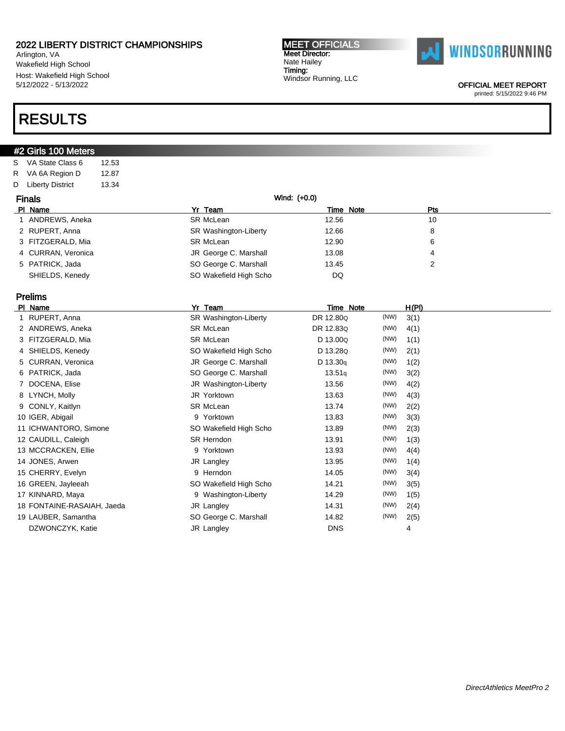Arlington, VA Wakefield High School Host: Wakefield High School 5/12/2022 - 5/13/2022

### RESULTS

### #2 Girls 100 Meters

S VA State Class 6 12.53 R VA 6A Region D 12.87 D Liberty District 13.34

| <b>Finals</b> |                    | Wind: (+0.0)           |       |           |     |
|---------------|--------------------|------------------------|-------|-----------|-----|
|               | PI Name            | Yr Team                |       | Time Note | Pts |
|               | 1 ANDREWS, Aneka   | SR McLean              | 12.56 |           | 10  |
|               | 2 RUPERT, Anna     | SR Washington-Liberty  | 12.66 |           | 8   |
|               | 3 FITZGERALD, Mia  | SR McLean              | 12.90 |           | 6   |
|               | 4 CURRAN, Veronica | JR George C. Marshall  | 13.08 |           |     |
|               | 5 PATRICK, Jada    | SO George C. Marshall  | 13.45 |           |     |
|               | SHIELDS, Kenedy    | SO Wakefield High Scho | DQ    |           |     |

### Prelims

| PI Name                    | Yr<br>Team             | Time Note  |      | <u>H(PI)</u> |
|----------------------------|------------------------|------------|------|--------------|
| RUPERT, Anna               | SR Washington-Liberty  | DR 12.80Q  | (NW) | 3(1)         |
| 2 ANDREWS, Aneka           | SR McLean              | DR 12.83Q  | (NW) | 4(1)         |
| 3 FITZGERALD, Mia          | <b>SR McLean</b>       | D 13.00Q   | (NW) | 1(1)         |
| 4 SHIELDS, Kenedy          | SO Wakefield High Scho | D 13.28Q   | (NW) | 2(1)         |
| 5 CURRAN, Veronica         | JR George C. Marshall  | D 13.30q   | (NW) | 1(2)         |
| 6 PATRICK, Jada            | SO George C. Marshall  | 13.51q     | (NW) | 3(2)         |
| 7 DOCENA, Elise            | JR Washington-Liberty  | 13.56      | (NW) | 4(2)         |
| 8 LYNCH, Molly             | JR Yorktown            | 13.63      | (NW) | 4(3)         |
| 9 CONLY, Kaitlyn           | SR McLean              | 13.74      | (NW) | 2(2)         |
| 10 IGER, Abigail           | 9 Yorktown             | 13.83      | (NW) | 3(3)         |
| 11 ICHWANTORO, Simone      | SO Wakefield High Scho | 13.89      | (NW) | 2(3)         |
| 12 CAUDILL, Caleigh        | SR Herndon             | 13.91      | (NW) | 1(3)         |
| 13 MCCRACKEN, Ellie        | 9 Yorktown             | 13.93      | (NW) | 4(4)         |
| 14 JONES, Arwen            | JR Langley             | 13.95      | (NW) | 1(4)         |
| 15 CHERRY, Evelyn          | 9 Herndon              | 14.05      | (NW) | 3(4)         |
| 16 GREEN, Jayleeah         | SO Wakefield High Scho | 14.21      | (NW) | 3(5)         |
| 17 KINNARD, Maya           | 9 Washington-Liberty   | 14.29      | (NW) | 1(5)         |
| 18 FONTAINE-RASAIAH, Jaeda | JR Langley             | 14.31      | (NW) | 2(4)         |
| 19 LAUBER, Samantha        | SO George C. Marshall  | 14.82      | (NW) | 2(5)         |
| DZWONCZYK, Katie           | JR Langley             | <b>DNS</b> |      | 4            |
|                            |                        |            |      |              |

#### MEET OFFICIALS Meet Director: Nate Hailey Timing: Windsor Running, LLC



OFFICIAL MEET REPORT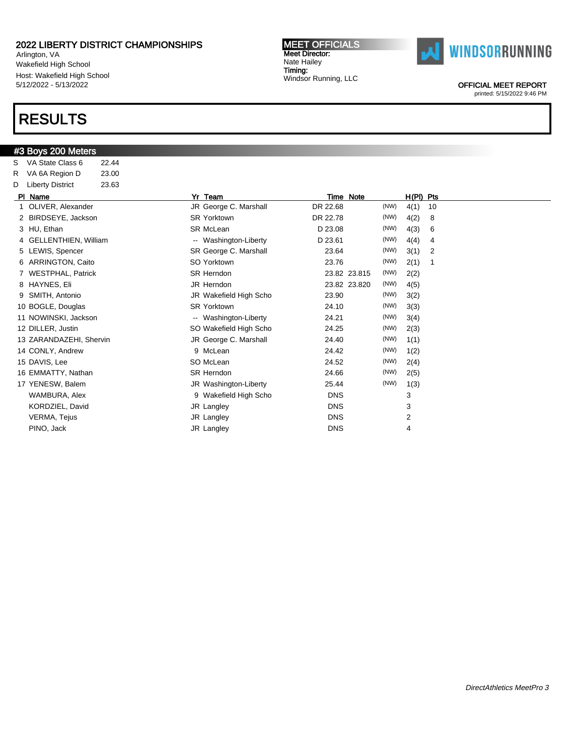Arlington, VA Wakefield High School Host: Wakefield High School 5/12/2022 - 5/13/2022

### RESULTS

#### #3 Boys 200 Meters

S VA State Class 6 22.44 R VA 6A Region D 23.00 D Liberty District 23.63 Pl Name Yr Team Time Note H(Pl) Pts 1 OLIVER, Alexander **JR George C. Marshall** DR 22.68 (NW) 4(1) 10 2 BIRDSEYE, Jackson SR Yorktown DR 22.78 (NW) 4(2) 8 3 HU, Ethan 14(3) 6 SR McLean 1 Contact D 23.08 (NW) 4(3) 6 4 GELLENTHIEN, William -- Washington-Liberty D 23.61 (NW) 4(4) 4 5 LEWIS, Spencer SR George C. Marshall 23.64 (NW) 3(1) 2 6 ARRINGTON, Caito SO Yorktown 23.76 (NW) 2(1) 1 7 WESTPHAL, Patrick SR Herndon 23.82 23.815 (NW) 2(2) 8 HAYNES, Eli JR Herndon 23.82 23.820 (NW) 4(5) 9 SMITH, Antonio JR Wakefield High Scho 23.90 (NW) 3(2) 10 BOGLE, Douglas SR Yorktown 24.10 (NW) 3(3) 11 NOWINSKI, Jackson **--** Washington-Liberty 24.21 (NW) 3(4) 12 DILLER, Justin **SO Wakefield High Scho** 24.25 (NW) 2(3) 13 ZARANDAZEHI, Shervin **13 George C. Marshall** 24.40 (NW) 1(1) 14 CONLY, Andrew 9 McLean 24.42 (NW) 1(2) 15 DAVIS, Lee SO McLean 30 Davis 24.52 (NW) 2(4) 16 EMMATTY, Nathan **SR Herndon** SR Herndon 24.66 (NW) 2(5) 17 YENESW, Balem **JR Washington-Liberty** 25.44 (NW) 1(3) WAMBURA, Alex 3 Nakefield High Scho DNS 3 KORDZIEL, David JR Langley DNS 3 VERMA, Tejus and the state of the UR Langley Contract of the DNS 2 PINO, Jack JR Langley DNS 4

MEET OFFICIALS Meet Director: Nate Hailey Timing:

Windsor Running, LLC



OFFICIAL MEET REPORT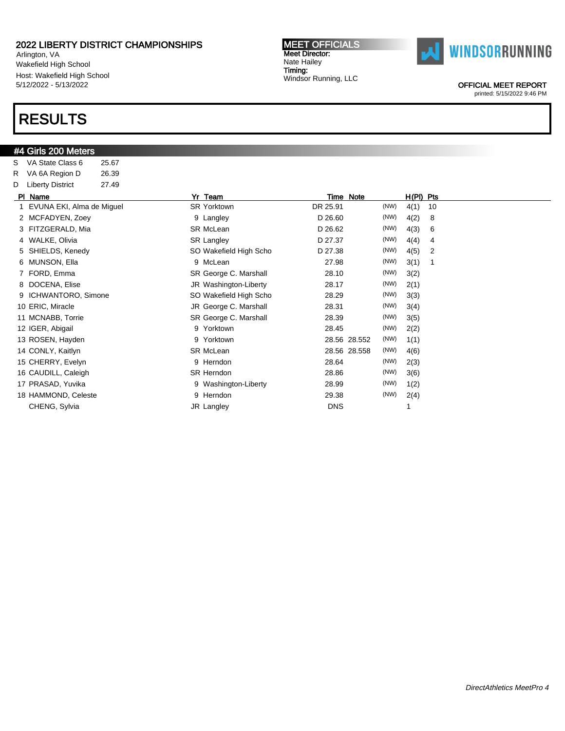Arlington, VA Wakefield High School Host: Wakefield High School 5/12/2022 - 5/13/2022

### RESULTS

### #4 Girls 200 Meters

S VA State Class 6 25.67 R VA 6A Region D 26.39 D Liberty District 27.49 Pl Name Yr Team Time Note H(Pl) Pts 1 EVUNA EKI, Alma de Miguel SR Yorktown DR 25.91 (NW) 4(1) 10 2 MCFADYEN, Zoey 9 Langley D 26.60 (NW) 4(2) 8 3 FITZGERALD, Mia **SR McLean** SR McLean **D 26.62** (NW) 4(3) 6 4 WALKE, Olivia **SR Langley 5 Company 12 Company 12 Company 12 Company 12 Company 21 Company 21 Company 21 Company 21 Company 21 Company 27.37 (NW) 4(4) 4** 5 SHIELDS, Kenedy **SO Wakefield High Scho** D 27.38 (NW) 4(5) 2 6 MUNSON, Ella 9 McLean 27.98 (NW) 3(1) 1 7 FORD, Emma SR George C. Marshall 28.10 (NW) 3(2) 8 DOCENA, Elise Case of the Mashington-Liberty 28.17 (NW) 2(1) 9 ICHWANTORO, Simone SO Wakefield High Scho 28.29 (NW) 3(3) 10 ERIC, Miracle JR George C. Marshall 28.31 (NW) 3(4) 11 MCNABB, Torrie SR George C. Marshall 28.39 (NW) 3(5) 12 IGER, Abigail 9 Yorktown 28.45 (NW) 2(2) 13 ROSEN, Hayden 9 Yorktown 28.56 28.552 (NW) 1(1) 14 CONLY, Kaitlyn SR McLean 28.56 28.558 (NW) 4(6) 15 CHERRY, Evelyn 9 Herndon 28.64 (NW) 2(3) 16 CAUDILL, Caleigh SR Herndon 28.86 (NW) 3(6) 17 PRASAD, Yuvika 9 Washington-Liberty 28.99 (NW) 1(2) 18 HAMMOND, Celeste 9 Herndon 29.38 (NW) 2(4)

CHENG, Sylvia **DNS** 1

MEET OFFICIALS Meet Director: Nate Hailey Timing: Windsor Running, LLC



OFFICIAL MEET REPORT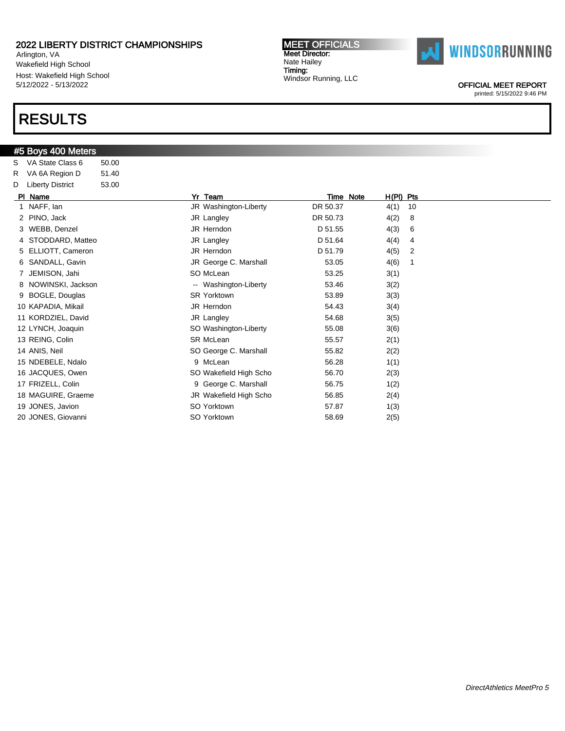Arlington, VA Wakefield High School Host: Wakefield High School 5/12/2022 - 5/13/2022

# RESULTS

#### #5 Boys 400 Meters

S VA State Class 6 50.00 R VA 6A Region D 51.40 D Liberty District 53.00

| PI Name             | Yr<br>Team             | Time Note | H(PI) Pts |    |
|---------------------|------------------------|-----------|-----------|----|
| 1 NAFF, lan         | JR Washington-Liberty  | DR 50.37  | 4(1)      | 10 |
| 2 PINO, Jack        | JR Langley             | DR 50.73  | 4(2)      | 8  |
| 3 WEBB, Denzel      | JR Herndon             | D 51.55   | 4(3)      | 6  |
| 4 STODDARD, Matteo  | JR Langley             | D 51.64   | 4(4)      | 4  |
| 5 ELLIOTT, Cameron  | JR Herndon             | D 51.79   | 4(5)      | 2  |
| 6 SANDALL, Gavin    | JR George C. Marshall  | 53.05     | 4(6)      |    |
| 7 JEMISON, Jahi     | SO McLean              | 53.25     | 3(1)      |    |
| 8 NOWINSKI, Jackson | -- Washington-Liberty  | 53.46     | 3(2)      |    |
| 9 BOGLE, Douglas    | <b>SR Yorktown</b>     | 53.89     | 3(3)      |    |
| 10 KAPADIA, Mikail  | JR Herndon             | 54.43     | 3(4)      |    |
| 11 KORDZIEL, David  | JR Langley             | 54.68     | 3(5)      |    |
| 12 LYNCH, Joaquin   | SO Washington-Liberty  | 55.08     | 3(6)      |    |
| 13 REING, Colin     | SR McLean              | 55.57     | 2(1)      |    |
| 14 ANIS, Neil       | SO George C. Marshall  | 55.82     | 2(2)      |    |
| 15 NDEBELE, Ndalo   | 9 McLean               | 56.28     | 1(1)      |    |
| 16 JACQUES, Owen    | SO Wakefield High Scho | 56.70     | 2(3)      |    |
| 17 FRIZELL, Colin   | 9 George C. Marshall   | 56.75     | 1(2)      |    |
| 18 MAGUIRE, Graeme  | JR Wakefield High Scho | 56.85     | 2(4)      |    |
| 19 JONES, Javion    | SO Yorktown            | 57.87     | 1(3)      |    |
| 20 JONES, Giovanni  | SO Yorktown            | 58.69     | 2(5)      |    |
|                     |                        |           |           |    |

MEET OFFICIALS Meet Director: Nate Hailey Timing: Windsor Running, LLC



OFFICIAL MEET REPORT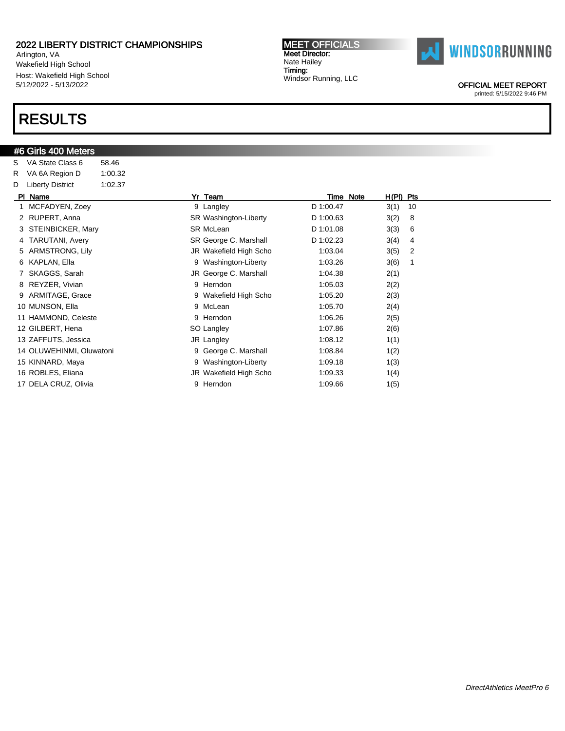Arlington, VA Wakefield High School Host: Wakefield High School 5/12/2022 - 5/13/2022

### RESULTS

### #6 Girls 400 Meters

| S  | VA State Class 6         | 58.46   |   |                        |           |           |             |    |
|----|--------------------------|---------|---|------------------------|-----------|-----------|-------------|----|
| R  | VA 6A Region D           | 1:00.32 |   |                        |           |           |             |    |
| D  | <b>Liberty District</b>  | 1:02.37 |   |                        |           |           |             |    |
|    | PI Name                  |         |   | Yr Team                |           | Time Note | $H(PI)$ Pts |    |
| 1. | MCFADYEN, Zoey           |         |   | 9 Langley              | D 1:00.47 |           | 3(1)        | 10 |
| 2  | RUPERT, Anna             |         |   | SR Washington-Liberty  | D 1:00.63 |           | 3(2)        | 8  |
| 3  | STEINBICKER, Mary        |         |   | <b>SR McLean</b>       | D 1:01.08 |           | 3(3)        | 6  |
|    | 4 TARUTANI, Avery        |         |   | SR George C. Marshall  | D 1:02.23 |           | 3(4)        | 4  |
| 5  | ARMSTRONG, Lily          |         |   | JR Wakefield High Scho | 1:03.04   |           | 3(5)        | 2  |
| 6  | KAPLAN, Ella             |         |   | 9 Washington-Liberty   | 1:03.26   |           | 3(6)        | 1  |
|    | SKAGGS, Sarah            |         |   | JR George C. Marshall  | 1:04.38   |           | 2(1)        |    |
| 8  | REYZER, Vivian           |         | 9 | Herndon                | 1:05.03   |           | 2(2)        |    |
|    | ARMITAGE, Grace          |         |   | 9 Wakefield High Scho  | 1:05.20   |           | 2(3)        |    |
|    | 10 MUNSON, Ella          |         | 9 | McLean                 | 1:05.70   |           | 2(4)        |    |
|    | 11 HAMMOND, Celeste      |         |   | 9 Herndon              | 1:06.26   |           | 2(5)        |    |
|    | 12 GILBERT, Hena         |         |   | SO Langley             | 1:07.86   |           | 2(6)        |    |
|    | 13 ZAFFUTS, Jessica      |         |   | JR Langley             | 1:08.12   |           | 1(1)        |    |
|    | 14 OLUWEHINMI, Oluwatoni |         | 9 | George C. Marshall     | 1:08.84   |           | 1(2)        |    |
|    | 15 KINNARD, Maya         |         | 9 | Washington-Liberty     | 1:09.18   |           | 1(3)        |    |
|    | 16 ROBLES, Eliana        |         |   | JR Wakefield High Scho | 1:09.33   |           | 1(4)        |    |
|    | 17 DELA CRUZ, Olivia     |         | 9 | Herndon                | 1:09.66   |           | 1(5)        |    |



OFFICIAL MEET REPORT

printed: 5/15/2022 9:46 PM

MEET OFFICIALS Meet Director: Nate Hailey Timing: Windsor Running, LLC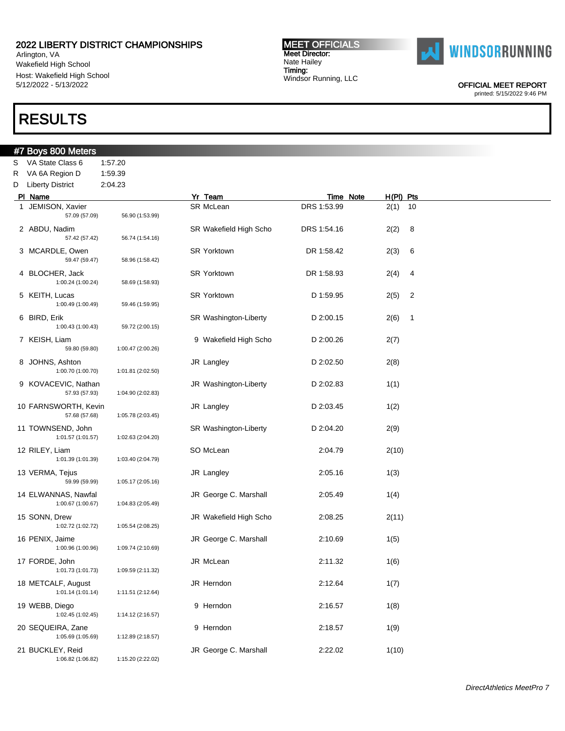Arlington, VA Wakefield High School Host: Wakefield High School 5/12/2022 - 5/13/2022

### RESULTS

### #7 Boys 800 Meters S VA State Class 6 1:57.20 R VA 6A Region D 1:59.39 D Liberty District 2:04.23 PI Name **Note** H(PI) Pts 1 JEMISON, Xavier **SR McLean** SR McLean DRS 1:53.99 2(1) 10 57.09 (57.09) 56.90 (1:53.99) 2 ABDU, Nadim SR Wakefield High Scho DRS 1:54.16 2(2) 8 57.42 (57.42) 56.74 (1:54.16) 3 MCARDLE, Owen SR Yorktown DR 1:58.42 2(3) 6 59.47 (59.47) 58.96 (1:58.42) 4 BLOCHER, Jack SR Yorktown DR 1:58.93 2(4) 4 1:00.24 (1:00.24) 58.69 (1:58.93) 5 KEITH, Lucas 2(5) 2 SR Yorktown 2 D 1:59.95 2(5) 2 1:00.49 (1:00.49) 59.46 (1:59.95) 6 BIRD, Erik SR Washington-Liberty D 2:00.15 2(6) 1 1:00.43 (1:00.43) 59.72 (2:00.15)

MEET OFFICIALS Meet Director: Nate Hailey Timing:

Windsor Running, LLC

| 6 BIRD, Erik<br>1:00.43 (1:00.43)        | 59.72 (2:00.15)   |   | SR Washington-Liberty  | D 2:00.15 | 2(6)  | 1 |
|------------------------------------------|-------------------|---|------------------------|-----------|-------|---|
| 7 KEISH, Liam<br>59.80 (59.80)           | 1:00.47 (2:00.26) |   | 9 Wakefield High Scho  | D 2:00.26 | 2(7)  |   |
| 8 JOHNS, Ashton<br>1:00.70 (1:00.70)     | 1:01.81 (2:02.50) |   | JR Langley             | D 2:02.50 | 2(8)  |   |
| 9 KOVACEVIC, Nathan<br>57.93 (57.93)     | 1:04.90 (2:02.83) |   | JR Washington-Liberty  | D 2:02.83 | 1(1)  |   |
| 10 FARNSWORTH, Kevin<br>57.68 (57.68)    | 1:05.78 (2:03.45) |   | JR Langley             | D 2:03.45 | 1(2)  |   |
| 11 TOWNSEND, John<br>1:01.57 (1:01.57)   | 1:02.63 (2:04.20) |   | SR Washington-Liberty  | D 2:04.20 | 2(9)  |   |
| 12 RILEY, Liam<br>1:01.39 (1:01.39)      | 1:03.40 (2:04.79) |   | SO McLean              | 2:04.79   | 2(10) |   |
| 13 VERMA, Tejus<br>59.99 (59.99)         | 1:05.17 (2:05.16) |   | JR Langley             | 2:05.16   | 1(3)  |   |
| 14 ELWANNAS, Nawfal<br>1:00.67 (1:00.67) | 1:04.83 (2:05.49) |   | JR George C. Marshall  | 2:05.49   | 1(4)  |   |
| 15 SONN, Drew<br>1:02.72 (1:02.72)       | 1:05.54 (2:08.25) |   | JR Wakefield High Scho | 2:08.25   | 2(11) |   |
| 16 PENIX, Jaime<br>1:00.96 (1:00.96)     | 1:09.74 (2:10.69) |   | JR George C. Marshall  | 2:10.69   | 1(5)  |   |
| 17 FORDE, John<br>1:01.73 (1:01.73)      | 1:09.59 (2:11.32) |   | JR McLean              | 2:11.32   | 1(6)  |   |
| 18 METCALF, August<br>1:01.14 (1:01.14)  | 1:11.51 (2:12.64) |   | JR Herndon             | 2:12.64   | 1(7)  |   |
| 19 WEBB, Diego<br>1:02.45 (1:02.45)      | 1:14.12 (2:16.57) |   | 9 Herndon              | 2:16.57   | 1(8)  |   |
| 20 SEQUEIRA, Zane<br>1:05.69 (1:05.69)   | 1:12.89 (2:18.57) | 9 | Herndon                | 2:18.57   | 1(9)  |   |
| 21 BUCKLEY, Reid<br>1:06.82 (1:06.82)    | 1:15.20 (2:22.02) |   | JR George C. Marshall  | 2:22.02   | 1(10) |   |
|                                          |                   |   |                        |           |       |   |



OFFICIAL MEET REPORT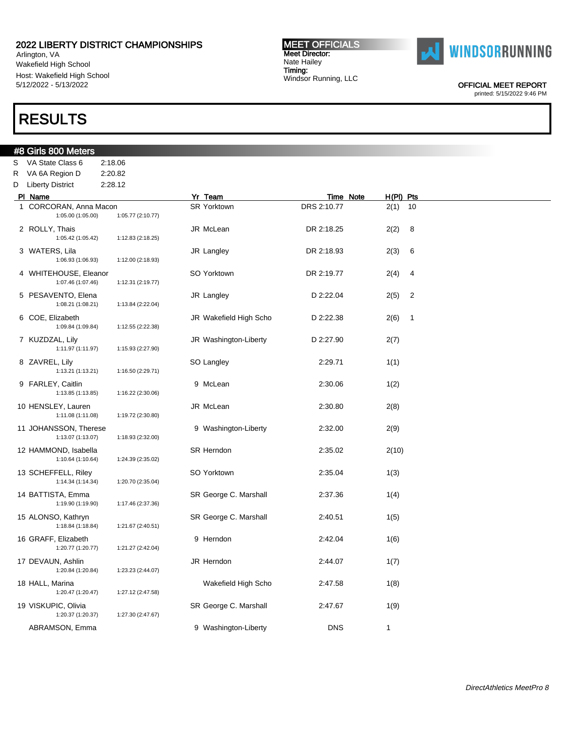Arlington, VA Wakefield High School Host: Wakefield High School 5/12/2022 - 5/13/2022

# RESULTS

#8 Girls 800 Meters

S VA State Class 6 2:18.06

#### MEET OFFICIALS Meet Director: Nate Hailey Timing: Windsor Running, LLC



OFFICIAL MEET REPORT

| R. | VA 6A Region D                              | 2:20.82           |                        |             |             |                |
|----|---------------------------------------------|-------------------|------------------------|-------------|-------------|----------------|
|    | D Liberty District                          | 2:28.12           |                        |             |             |                |
|    | PI Name                                     |                   | Yr Team                | Time Note   | $H(PI)$ Pts |                |
|    | 1 CORCORAN, Anna Macon<br>1:05.00 (1:05.00) | 1:05.77 (2:10.77) | <b>SR Yorktown</b>     | DRS 2:10.77 | 2(1)        | 10             |
|    | 2 ROLLY, Thais<br>1:05.42 (1:05.42)         | 1:12.83 (2:18.25) | JR McLean              | DR 2:18.25  | 2(2)        | 8              |
|    | 3 WATERS, Lila<br>1:06.93 (1:06.93)         | 1:12.00 (2:18.93) | JR Langley             | DR 2:18.93  | 2(3)        | 6              |
|    | 4 WHITEHOUSE, Eleanor<br>1:07.46 (1:07.46)  | 1:12.31 (2:19.77) | SO Yorktown            | DR 2:19.77  | 2(4)        | 4              |
|    | 5 PESAVENTO, Elena<br>1:08.21 (1:08.21)     | 1:13.84 (2:22.04) | JR Langley             | D 2:22.04   | 2(5)        | $\overline{c}$ |
|    | 6 COE, Elizabeth<br>1:09.84 (1:09.84)       | 1:12.55 (2:22.38) | JR Wakefield High Scho | D 2:22.38   | 2(6)        | 1              |
|    | 7 KUZDZAL, Lily<br>1:11.97 (1:11.97)        | 1:15.93 (2:27.90) | JR Washington-Liberty  | D 2:27.90   | 2(7)        |                |
|    | 8 ZAVREL, Lily<br>1:13.21 (1:13.21)         | 1:16.50 (2:29.71) | SO Langley             | 2:29.71     | 1(1)        |                |
|    | 9 FARLEY, Caitlin<br>1:13.85 (1:13.85)      | 1:16.22 (2:30.06) | 9 McLean               | 2:30.06     | 1(2)        |                |
|    | 10 HENSLEY, Lauren<br>1:11.08 (1:11.08)     | 1:19.72 (2:30.80) | JR McLean              | 2:30.80     | 2(8)        |                |
|    | 11 JOHANSSON, Therese<br>1:13.07 (1:13.07)  | 1:18.93 (2:32.00) | 9 Washington-Liberty   | 2:32.00     | 2(9)        |                |
|    | 12 HAMMOND, Isabella<br>1:10.64 (1:10.64)   | 1:24.39 (2:35.02) | <b>SR Herndon</b>      | 2:35.02     | 2(10)       |                |
|    | 13 SCHEFFELL, Riley<br>1:14.34 (1:14.34)    | 1:20.70 (2:35.04) | SO Yorktown            | 2:35.04     | 1(3)        |                |
|    | 14 BATTISTA, Emma<br>1:19.90 (1:19.90)      | 1:17.46 (2:37.36) | SR George C. Marshall  | 2:37.36     | 1(4)        |                |
|    | 15 ALONSO, Kathryn<br>1:18.84 (1:18.84)     | 1:21.67 (2:40.51) | SR George C. Marshall  | 2:40.51     | 1(5)        |                |
|    | 16 GRAFF, Elizabeth<br>1:20.77 (1:20.77)    | 1:21.27 (2:42.04) | 9 Herndon              | 2:42.04     | 1(6)        |                |
|    | 17 DEVAUN, Ashlin<br>1:20.84 (1:20.84)      | 1:23.23 (2:44.07) | JR Herndon             | 2:44.07     | 1(7)        |                |
|    | 18 HALL, Marina<br>1:20.47 (1:20.47)        | 1:27.12 (2:47.58) | Wakefield High Scho    | 2:47.58     | 1(8)        |                |
|    | 19 VISKUPIC, Olivia<br>1:20.37 (1:20.37)    | 1:27.30 (2:47.67) | SR George C. Marshall  | 2:47.67     | 1(9)        |                |
|    | ABRAMSON, Emma                              |                   | 9 Washington-Liberty   | <b>DNS</b>  | 1           |                |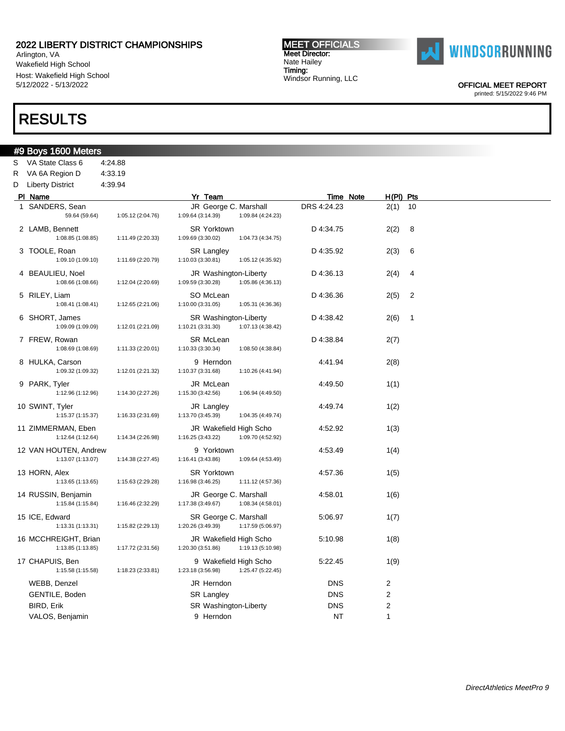Arlington, VA Wakefield High School Host: Wakefield High School 5/12/2022 - 5/13/2022

## RESULTS

#9 Boys 1600 Meters S VA State Class 6 4:24.88

#### MEET OFFICIALS Meet Director: Nate Hailey Timing: Windsor Running, LLC



OFFICIAL MEET REPORT

| R VA 6A Region D                           | 4:33.19           |                                             |                   |             |                         |                |  |
|--------------------------------------------|-------------------|---------------------------------------------|-------------------|-------------|-------------------------|----------------|--|
| D Liberty District                         | 4:39.94           |                                             |                   |             |                         |                |  |
| PI Name                                    |                   | Yr Team                                     |                   | Time Note   | H(PI) Pts               |                |  |
| 1 SANDERS, Sean<br>59.64 (59.64)           | 1:05.12 (2:04.76) | JR George C. Marshall<br>1:09.64 (3:14.39)  | 1:09.84 (4:24.23) | DRS 4:24.23 | 2(1)                    | 10             |  |
| 2 LAMB, Bennett<br>1:08.85 (1:08.85)       | 1:11.49 (2:20.33) | <b>SR Yorktown</b><br>1:09.69 (3:30.02)     | 1:04.73 (4:34.75) | D 4:34.75   | 2(2)                    | 8              |  |
| 3 TOOLE, Roan<br>1:09.10 (1:09.10)         | 1:11.69 (2:20.79) | <b>SR Langley</b><br>1:10.03 (3:30.81)      | 1:05.12 (4:35.92) | D 4:35.92   | 2(3)                    | 6              |  |
| 4 BEAULIEU, Noel<br>1:08.66 (1:08.66)      | 1:12.04 (2:20.69) | JR Washington-Liberty<br>1:09.59 (3:30.28)  | 1:05.86 (4:36.13) | D 4:36.13   | 2(4)                    | 4              |  |
| 5 RILEY, Liam<br>1:08.41 (1:08.41)         | 1:12.65 (2:21.06) | SO McLean<br>1:10.00 (3:31.05)              | 1:05.31 (4:36.36) | D 4:36.36   | 2(5)                    | $\overline{2}$ |  |
| 6 SHORT, James<br>1:09.09 (1:09.09)        | 1:12.01 (2:21.09) | SR Washington-Liberty<br>1:10.21 (3:31.30)  | 1:07.13 (4:38.42) | D 4:38.42   | 2(6)                    | $\overline{1}$ |  |
| 7 FREW, Rowan<br>1:08.69 (1:08.69)         | 1:11.33 (2:20.01) | SR McLean<br>1:10.33 (3:30.34)              | 1:08.50 (4:38.84) | D 4:38.84   | 2(7)                    |                |  |
| 8 HULKA, Carson<br>1:09.32 (1:09.32)       | 1:12.01 (2:21.32) | 9 Herndon<br>1:10.37 (3:31.68)              | 1:10.26 (4:41.94) | 4:41.94     | 2(8)                    |                |  |
| 9 PARK, Tyler<br>1:12.96 (1:12.96)         | 1:14.30 (2:27.26) | JR McLean<br>1:15.30 (3:42.56)              | 1:06.94 (4:49.50) | 4:49.50     | 1(1)                    |                |  |
| 10 SWINT, Tyler<br>1:15.37 (1:15.37)       | 1:16.33 (2:31.69) | JR Langley<br>1:13.70 (3:45.39)             | 1:04.35 (4:49.74) | 4:49.74     | 1(2)                    |                |  |
| 11 ZIMMERMAN, Eben<br>1:12.64 (1:12.64)    | 1:14.34 (2:26.98) | JR Wakefield High Scho<br>1:16.25 (3:43.22) | 1:09.70 (4:52.92) | 4:52.92     | 1(3)                    |                |  |
| 12 VAN HOUTEN, Andrew<br>1:13.07 (1:13.07) | 1:14.38 (2:27.45) | 9 Yorktown<br>1:16.41 (3:43.86)             | 1:09.64 (4:53.49) | 4:53.49     | 1(4)                    |                |  |
| 13 HORN, Alex<br>1:13.65 (1:13.65)         | 1:15.63 (2:29.28) | <b>SR Yorktown</b><br>1:16.98 (3:46.25)     | 1:11.12 (4:57.36) | 4:57.36     | 1(5)                    |                |  |
| 14 RUSSIN, Benjamin<br>1:15.84 (1:15.84)   | 1:16.46 (2:32.29) | JR George C. Marshall<br>1:17.38 (3:49.67)  | 1:08.34 (4:58.01) | 4:58.01     | 1(6)                    |                |  |
| 15 ICE, Edward<br>1:13.31(1:13.31)         | 1:15.82 (2:29.13) | SR George C. Marshall<br>1:20.26 (3:49.39)  | 1:17.59 (5:06.97) | 5:06.97     | 1(7)                    |                |  |
| 16 MCCHREIGHT, Brian<br>1:13.85 (1:13.85)  | 1:17.72 (2:31.56) | JR Wakefield High Scho<br>1:20.30 (3:51.86) | 1:19.13 (5:10.98) | 5:10.98     | 1(8)                    |                |  |
| 17 CHAPUIS, Ben<br>1:15.58 (1:15.58)       | 1:18.23 (2:33.81) | 9 Wakefield High Scho<br>1:23.18 (3:56.98)  | 1:25.47 (5:22.45) | 5:22.45     | 1(9)                    |                |  |
| WEBB, Denzel                               |                   | JR Herndon                                  |                   | <b>DNS</b>  | $\overline{\mathbf{c}}$ |                |  |
| GENTILE, Boden                             |                   | SR Langley                                  |                   | <b>DNS</b>  | $\boldsymbol{2}$        |                |  |
| BIRD, Erik                                 |                   | SR Washington-Liberty                       |                   | <b>DNS</b>  | $\overline{c}$          |                |  |
| VALOS, Benjamin                            |                   | 9 Herndon                                   |                   | NT          | 1                       |                |  |
|                                            |                   |                                             |                   |             |                         |                |  |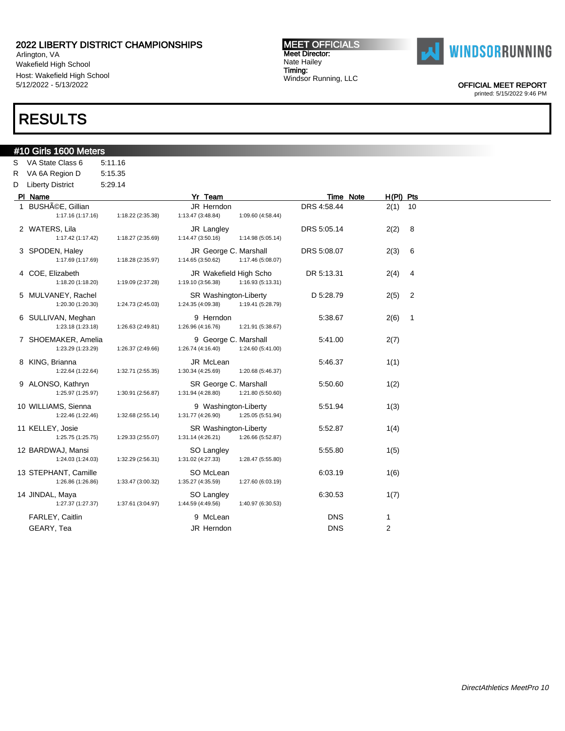Arlington, VA Wakefield High School Host: Wakefield High School 5/12/2022 - 5/13/2022

### RESULTS

### #10 Girls 1600 Meters

S VA State Class 6 5:11.16 R VA 6A Region D 5:15.35 D Liberty District 5:29.14 Pl Name Yr Team Time Note H(Pl) Pts

#### 1 BUSHéE, Gillian JR Herndon DRS 4:58.44 2(1) 10 1:17.16 (1:17.16) 1:18.22 (2:35.38) 1:13.47 (3:48.84) 1:09.60 (4:58.44) 2 WATERS, Lila JR Langley DRS 5:05.14 2(2) 8 1:17.42 (1:17.42) 1:18.27 (2:35.69) 1:14.47 (3:50.16) 1:14.98 (5:05.14) 3 SPODEN, Haley JR George C. Marshall DRS 5:08.07 2(3) 6 1:17.69 (1:17.69) 1:18.28 (2:35.97) 1:14.65 (3:50.62) 1:17.46 (5:08.07) 4 COE, Elizabeth JR Wakefield High Scho DR 5:13.31 2(4) 4 1:18.20 (1:18.20) 1:19.09 (2:37.28) 1:19.10 (3:56.38) 1:16.93 (5:13.31) 5 MULVANEY, Rachel SR Washington-Liberty D 5:28.79 2(5) 2 1:20.30 (1:20.30) 1:24.73 (2:45.03) 1:24.35 (4:09.38) 1:19.41 (5:28.79) 6 SULLIVAN, Meghan 9 Herndon 5:38.67 2(6) 1 1:23.18 (1:23.18) 1:26.63 (2:49.81) 1:26.96 (4:16.76) 1:21.91 (5:38.67) 7 SHOEMAKER, Amelia 9 George C. Marshall 5:41.00 2(7) 1:23.29 (1:23.29) 1:26.37 (2:49.66) 1:26.74 (4:16.40) 1:24.60 (5:41.00) 8 KING, Brianna 1(1) 38 S. The State of the State of the State of State of the State of the State of the State of the State of the State of the State of the State of the State of the State of the State of the State of the 1:22.64 (1:22.64) 1:32.71 (2:55.35) 1:30.34 (4:25.69) 1:20.68 (5:46.37) 9 ALONSO, Kathryn SR George C. Marshall 5:50.60 1(2) 1:25.97 (1:25.97) 1:30.91 (2:56.87) 1:31.94 (4:28.80) 1:21.80 (5:50.60) 10 WILLIAMS, Sienna 1:22.46 (1:22.46) 1:32.68 (2:55.14) 1:31.77 (4:26.90) 1:25.05 (5:51.94 5:51.94 1(3) 1:22.46 (1:22.46) 1:32.68 (2:55.14) 1:31.77 (4:26.90) 11 KELLEY, Josie SR Washington-Liberty 5:52.87 1(4) 1:25.75 (1:25.75) 1:29.33 (2:55.07) 1:31.14 (4:26.21) 1:26.66 (5:52.87) 12 BARDWAJ, Mansi SO Langley 5:55.80 1(5) 1:24.03 (1:24.03) 1:32.29 (2:56.31) 1:31.02 (4:27.33) 1:28.47 (5:55.80) 13 STEPHANT, Camille **16:03.19** SO McLean 6:03.19 6:03.19 1(6) 1:26.86 (1:26.86) 1:33.47 (3:00.32) 1:35.27 (4:35.59) 1:27.60 (6:03.19) 14 JINDAL, Maya SO Langley 6:30.53 1(7) 1:27.37 (1:27.37) 1:37.61 (3:04.97) 1:44.59 (4:49.56) 1:40.97 (6:30.53)

MEET OFFICIALS Meet Director: Nate Hailey Timing:

Windsor Running, LLC

FARLEY, Caitlin 1 and 1 and 1 and 1 and 1 and 1 and 1 and 1 and 1 and 1 and 1 and 1 and 1 and 1 and 1 and 1 and 1 GEARY, Tea **JR Herndon** DNS 2



OFFICIAL MEET REPORT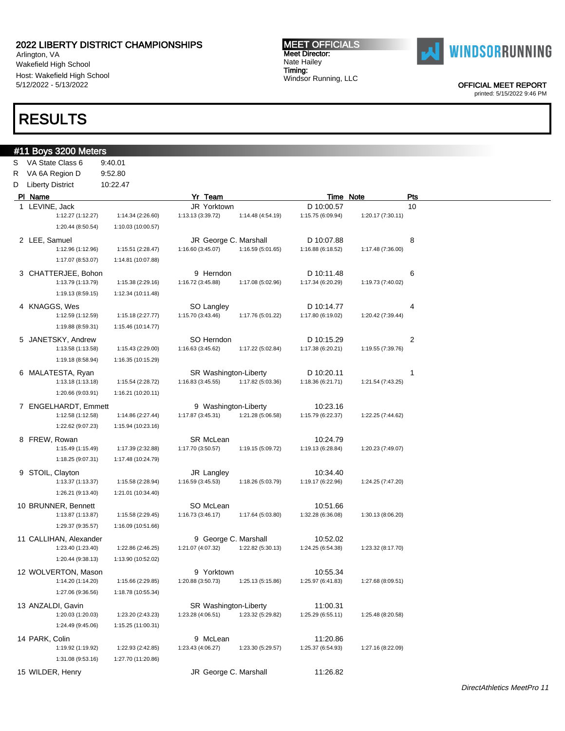Arlington, VA Wakefield High School Host: Wakefield High School 5/12/2022 - 5/13/2022

### RESULTS

### #11 Boys 3200 Meters

S VA State Class 6 9:40.01 R VA 6A Region D 9:52.80 D Liberty District 10:22.47 Pl Name Yr Team Time Note Pts

#### 1 LEVINE, Jack 10 Contract the Superintendent State of the U.S. of the U.S. of the U.S. of the U.S. of the U.S 1:12.27 (1:12.27) 1:14.34 (2:26.60) 1:13.13 (3:39.72) 1:14.48 (4:54.19) 1:15.75 (6:09.94) 1:20.17 (7:30.11) 1:20.44 (8:50.54) 1:10.03 (10:00.57) 2 LEE, Samuel **BEE, Samuel CEE**, Samuel **BEE, Samuel CEE**, Samuel BEE, Samuel BEE, Samuel BEE, Samuel BEE, Samuel BEE, Samuel BEE, Samuel BEE, Samuel BEE, Samuel BEE, Samuel BEE, Samuel BEE, Samuel BEE, Samuel BEE, Samuel 1:12.96 (1:12.96) 1:15.51 (2:28.47) 1:16.60 (3:45.07) 1:16.59 (5:01.65) 1:16.88 (6:18.52) 1:17.48 (7:36.00) 1:17.07 (8:53.07) 1:14.81 (10:07.88) 3 CHATTERJEE, Bohon 9 Herndon D 10:11.48 6 1:13.79 (1:13.79) 1:15.38 (2:29.16) 1:16.72 (3:45.88) 1:17.08 (5:02.96) 1:17.34 (6:20.29) 1:19.73 (7:40.02) 1:19.13 (8:59.15) 1:12.34 (10:11.48) 4 KNAGGS, Wes SO Langley D 10:14.77 4 1:12.59 (1:12.59) 1:15.18 (2:27.77) 1:15.70 (3:43.46) 1:17.76 (5:01.22) 1:17.80 (6:19.02) 1:20.42 (7:39.44) 1:19.88 (8:59.31) 1:15.46 (10:14.77) 5 JANETSKY, Andrew SO Herndon D 10:15.29 2 1:13.58 (1:13.58) 1:15.43 (2:29.00) 1:16.63 (3:45.62) 1:17.22 (5:02.84) 1:17.38 (6:20.21) 1:19.55 (7:39.76) 1:19.18 (8:58.94) 1:16.35 (10:15.29) 6 MALATESTA, Ryan 1 1 SR Washington-Liberty 1 D 10:20.11 1 1 1:13.18 (1:13.18) 1:15.54 (2:28.72) 1:16.83 (3:45.55) 1:17.82 (5:03.36) 1:18.36 (6:21.71) 1:21.54 (7:43.25) 1:20.66 (9:03.91) 1:16.21 (10:20.11) 7 ENGELHARDT, Emmett 9 Washington-Liberty 10:23.16 1:12.58 (1:12.58) 1:14.86 (2:27.44) 1:17.87 (3:45.31) 1:21.28 (5:06.58) 1:15.79 (6:22.37) 1:22.25 (7:44.62) 1:22.62 (9:07.23) 1:15.94 (10:23.16) 8 FREW, Rowan **SR McLean** SR McLean 10:24.79 1:15.49 (1:15.49) 1:17.39 (2:32.88) 1:17.70 (3:50.57) 1:19.15 (5:09.72) 1:19.13 (6:28.84) 1:20.23 (7:49.07) 1:18.25 (9:07.31) 1:17.48 (10:24.79) 9 STOIL, Clayton **10:34.40** JR Langley 10:34.40 1:13.37 (1:13.37) 1:15.58 (2:28.94) 1:16.59 (3:45.53) 1:18.26 (5:03.79) 1:19.17 (6:22.96) 1:24.25 (7:47.20) 1:26.21 (9:13.40) 1:21.01 (10:34.40) 10 BRUNNER, Bennett **SO McLean** SO McLean 10:51.66 1:13.87 (1:13.87) 1:15.58 (2:29.45) 1:16.73 (3:46.17) 1:17.64 (5:03.80) 1:32.28 (6:36.08) 1:30.13 (8:06.20) 1:29.37 (9:35.57) 1:16.09 (10:51.66) 11 CALLIHAN, Alexander 9 George C. Marshall 10:52.02 1:23.40 (1:23.40) 1:22.86 (2:46.25) 1:21.07 (4:07.32) 1:22.82 (5:30.13) 1:24.25 (6:54.38) 1:23.32 (8:17.70) 1:20.44 (9:38.13) 1:13.90 (10:52.02) 12 WOLVERTON, Mason 9 Yorktown 10:55.34 1:14.20 (1:14.20) 1:15.66 (2:29.85) 1:20.88 (3:50.73) 1:25.13 (5:15.86) 1:25.97 (6:41.83) 1:27.68 (8:09.51) 1:27.06 (9:36.56) 1:18.78 (10:55.34) 13 ANZALDI, Gavin **11:00.31** SR Washington-Liberty 11:00.31 1:20.03 (1:20.03) 1:23.20 (2:43.23) 1:23.28 (4:06.51) 1:23.32 (5:29.82) 1:25.29 (6:55.11) 1:25.48 (8:20.58) 1:24.49 (9:45.06) 1:15.25 (11:00.31) 14 PARK, Colin 9 McLean 11:20.86 1:19.92 (1:19.92) 1:22.93 (2:42.85) 1:23.43 (4:06.27) 1:23.30 (5:29.57) 1:25.37 (6:54.93) 1:27.16 (8:22.09) 1:31.08 (9:53.16) 1:27.70 (11:20.86) 15 WILDER, Henry JR George C. Marshall 11:26.82

MEET OFFICIALS Meet Director: Nate Hailey Timing:

Windsor Running, LLC



OFFICIAL MEET REPORT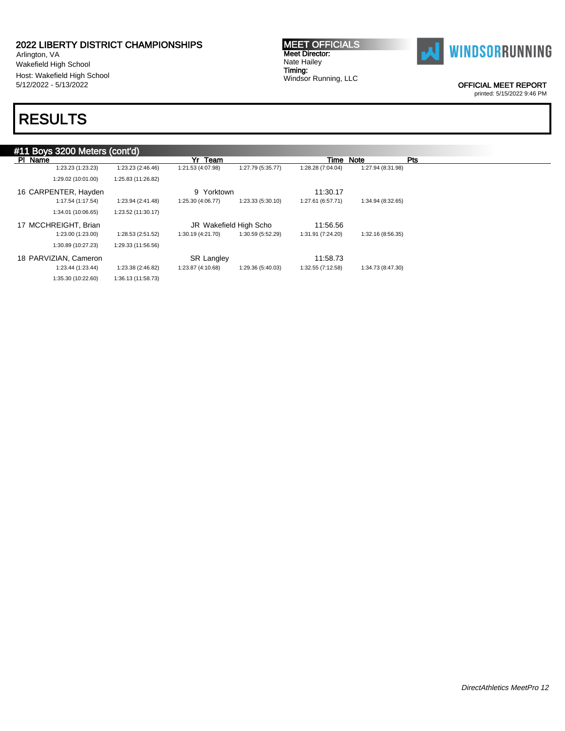Arlington, VA Wakefield High School Host: Wakefield High School 5/12/2022 - 5/13/2022

# RESULTS

MEET OFFICIALS Meet Director: Nate Hailey Timing: Windsor Running, LLC



OFFICIAL MEET REPORT

|                       | #11 Boys 3200 Meters (cont'd) |                   |                        |                   |                   |            |  |  |  |  |
|-----------------------|-------------------------------|-------------------|------------------------|-------------------|-------------------|------------|--|--|--|--|
| PI Name               |                               | Team<br>Yr        |                        | Time              | Note              | <b>Pts</b> |  |  |  |  |
| 1:23.23 (1:23.23)     | 1:23.23 (2:46.46)             | 1:21.53 (4:07.98) | 1:27.79 (5:35.77)      | 1:28.28 (7:04.04) | 1:27.94 (8:31.98) |            |  |  |  |  |
| 1:29.02 (10:01.00)    | 1:25.83 (11:26.82)            |                   |                        |                   |                   |            |  |  |  |  |
| 16 CARPENTER, Hayden  |                               | Yorktown<br>9     |                        | 11:30.17          |                   |            |  |  |  |  |
| 1:17.54 (1:17.54)     | 1:23.94 (2:41.48)             | 1:25.30 (4:06.77) | 1:23.33 (5:30.10)      | 1:27.61 (6:57.71) | 1:34.94 (8:32.65) |            |  |  |  |  |
| 1:34.01 (10:06.65)    | 1:23.52 (11:30.17)            |                   |                        |                   |                   |            |  |  |  |  |
| 17 MCCHREIGHT, Brian  |                               |                   | JR Wakefield High Scho | 11:56.56          |                   |            |  |  |  |  |
| 1:23.00 (1:23.00)     | 1:28.53 (2:51.52)             | 1:30.19 (4:21.70) | 1:30.59 (5:52.29)      | 1:31.91 (7:24.20) | 1:32.16 (8:56.35) |            |  |  |  |  |
| 1:30.89 (10:27.23)    | 1:29.33 (11:56.56)            |                   |                        |                   |                   |            |  |  |  |  |
| 18 PARVIZIAN, Cameron |                               | <b>SR Langley</b> |                        | 11:58.73          |                   |            |  |  |  |  |
| 1:23.44 (1:23.44)     | 1:23.38 (2:46.82)             | 1:23.87 (4:10.68) | 1:29.36 (5:40.03)      | 1:32.55 (7:12.58) | 1:34.73 (8:47.30) |            |  |  |  |  |
| 1:35.30 (10:22.60)    | 1:36.13 (11:58.73)            |                   |                        |                   |                   |            |  |  |  |  |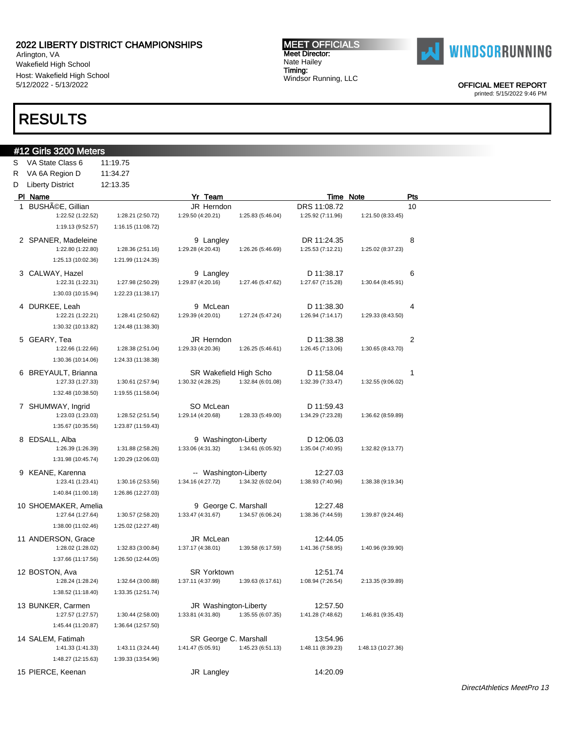Arlington, VA Wakefield High School Host: Wakefield High School 5/12/2022 - 5/13/2022

### RESULTS

#12 Girls 3200 Meters S VA State Class 6 11:19.75

#### MEET OFFICIALS Meet Director: Nate Hailey Timing: Windsor Running, LLC



OFFICIAL MEET REPORT

| R  | VA 6A Region D                            | 11:34.27           |                                            |                   |                               |                    |              |
|----|-------------------------------------------|--------------------|--------------------------------------------|-------------------|-------------------------------|--------------------|--------------|
| D  | <b>Liberty District</b>                   | 12:13.35           |                                            |                   |                               |                    |              |
|    | PI Name                                   |                    | Yr Team                                    |                   | Time Note                     |                    | Pts          |
| 1. | BUSHéE, Gillian                           |                    | JR Herndon                                 |                   | DRS 11:08.72                  |                    | 10           |
|    | 1:22.52 (1:22.52)                         | 1:28.21 (2:50.72)  | 1:29.50 (4:20.21)                          | 1:25.83 (5:46.04) | 1:25.92 (7:11.96)             | 1:21.50 (8:33.45)  |              |
|    | 1:19.13 (9:52.57)                         | 1:16.15 (11:08.72) |                                            |                   |                               |                    |              |
|    | 2 SPANER, Madeleine                       |                    | 9 Langley                                  |                   | DR 11:24.35                   |                    | 8            |
|    | 1:22.80 (1:22.80)                         | 1:28.36 (2:51.16)  | 1:29.28 (4:20.43)                          | 1:26.26 (5:46.69) | 1:25.53 (7:12.21)             | 1:25.02 (8:37.23)  |              |
|    | 1:25.13 (10:02.36)                        | 1:21.99 (11:24.35) |                                            |                   |                               |                    |              |
|    | 3 CALWAY, Hazel                           |                    | 9 Langley                                  |                   | D 11:38.17                    |                    | 6            |
|    | 1:22.31 (1:22.31)                         | 1:27.98 (2:50.29)  | 1:29.87 (4:20.16)                          | 1:27.46 (5:47.62) | 1:27.67 (7:15.28)             | 1:30.64 (8:45.91)  |              |
|    | 1:30.03 (10:15.94)                        | 1:22.23 (11:38.17) |                                            |                   |                               |                    |              |
|    | 4 DURKEE, Leah                            |                    | 9 McLean                                   |                   | D 11:38.30                    |                    | 4            |
|    | 1:22.21 (1:22.21)                         | 1:28.41 (2:50.62)  | 1:29.39 (4:20.01)                          | 1:27.24 (5:47.24) | 1:26.94 (7:14.17)             | 1:29.33 (8:43.50)  |              |
|    | 1:30.32 (10:13.82)                        | 1:24.48 (11:38.30) |                                            |                   |                               |                    |              |
|    | 5 GEARY, Tea                              |                    | JR Herndon                                 |                   | D 11:38.38                    |                    | 2            |
|    | 1:22.66 (1:22.66)                         | 1:28.38 (2:51.04)  | 1:29.33 (4:20.36)                          | 1:26.25 (5:46.61) | 1:26.45 (7:13.06)             | 1:30.65 (8:43.70)  |              |
|    | 1:30.36 (10:14.06)                        | 1:24.33 (11:38.38) |                                            |                   |                               |                    |              |
|    | 6 BREYAULT, Brianna                       |                    | SR Wakefield High Scho                     |                   | D 11:58.04                    |                    | $\mathbf{1}$ |
|    | 1:27.33 (1:27.33)                         | 1:30.61 (2:57.94)  | 1:30.32 (4:28.25)                          | 1:32.84 (6:01.08) | 1:32.39 (7:33.47)             | 1:32.55 (9:06.02)  |              |
|    | 1:32.48 (10:38.50)                        | 1:19.55 (11:58.04) |                                            |                   |                               |                    |              |
|    | 7 SHUMWAY, Ingrid                         |                    | SO McLean                                  |                   | D 11:59.43                    |                    |              |
|    | 1:23.03 (1:23.03)                         | 1:28.52 (2:51.54)  | 1:29.14 (4:20.68)                          | 1:28.33 (5:49.00) | 1:34.29 (7:23.28)             | 1:36.62 (8:59.89)  |              |
|    | 1:35.67 (10:35.56)                        | 1:23.87 (11:59.43) |                                            |                   |                               |                    |              |
|    | 8 EDSALL, Alba                            |                    | 9 Washington-Liberty                       |                   | D 12:06.03                    |                    |              |
|    | 1:26.39 (1:26.39)                         | 1:31.88 (2:58.26)  | 1:33.06 (4:31.32)                          | 1:34.61 (6:05.92) | 1:35.04 (7:40.95)             | 1:32.82 (9:13.77)  |              |
|    | 1:31.98 (10:45.74)                        | 1:20.29 (12:06.03) |                                            |                   |                               |                    |              |
|    |                                           |                    |                                            |                   | 12:27.03                      |                    |              |
|    | 9 KEANE, Karenna<br>1:23.41 (1:23.41)     | 1:30.16 (2:53.56)  | -- Washington-Liberty<br>1:34.16 (4:27.72) | 1:34.32 (6:02.04) | 1:38.93 (7:40.96)             | 1:38.38 (9:19.34)  |              |
|    | 1:40.84 (11:00.18)                        | 1:26.86 (12:27.03) |                                            |                   |                               |                    |              |
|    |                                           |                    |                                            |                   |                               |                    |              |
|    | 10 SHOEMAKER, Amelia<br>1:27.64 (1:27.64) | 1:30.57 (2:58.20)  | 9 George C. Marshall<br>1:33.47 (4:31.67)  | 1:34.57 (6:06.24) | 12:27.48<br>1:38.36 (7:44.59) | 1:39.87 (9:24.46)  |              |
|    | 1:38.00 (11:02.46)                        | 1:25.02 (12:27.48) |                                            |                   |                               |                    |              |
|    | 11 ANDERSON, Grace                        |                    | JR McLean                                  |                   |                               |                    |              |
|    | 1:28.02 (1:28.02)                         | 1:32.83 (3:00.84)  | 1:37.17 (4:38.01)                          | 1:39.58 (6:17.59) | 12:44.05<br>1:41.36 (7:58.95) | 1:40.96 (9:39.90)  |              |
|    | 1:37.66 (11:17.56)                        | 1:26.50 (12:44.05) |                                            |                   |                               |                    |              |
|    | 12 BOSTON, Ava                            |                    |                                            |                   | 12:51.74                      |                    |              |
|    | 1:28.24 (1:28.24)                         | 1:32.64 (3:00.88)  | SR Yorktown<br>1:37.11 (4:37.99)           | 1:39.63 (6:17.61) | 1:08.94 (7:26.54)             | 2:13.35 (9:39.89)  |              |
|    | 1:38.52 (11:18.40)                        | 1:33.35 (12:51.74) |                                            |                   |                               |                    |              |
|    |                                           |                    |                                            |                   | 12:57.50                      |                    |              |
|    | 13 BUNKER, Carmen<br>1:27.57 (1:27.57)    | 1:30.44 (2:58.00)  | JR Washington-Liberty<br>1:33.81 (4:31.80) | 1:35.55 (6:07.35) | 1:41.28 (7:48.62)             | 1:46.81 (9:35.43)  |              |
|    | 1:45.44 (11:20.87)                        | 1:36.64 (12:57.50) |                                            |                   |                               |                    |              |
|    |                                           |                    |                                            |                   |                               |                    |              |
|    | 14 SALEM, Fatimah<br>1:41.33 (1:41.33)    | 1:43.11 (3:24.44)  | SR George C. Marshall<br>1:41.47 (5:05.91) | 1:45.23 (6:51.13) | 13:54.96<br>1:48.11 (8:39.23) | 1:48.13 (10:27.36) |              |
|    | 1:48.27 (12:15.63)                        | 1:39.33 (13:54.96) |                                            |                   |                               |                    |              |
|    |                                           |                    |                                            |                   |                               |                    |              |
|    | 15 PIERCE, Keenan                         |                    | JR Langley                                 |                   | 14:20.09                      |                    |              |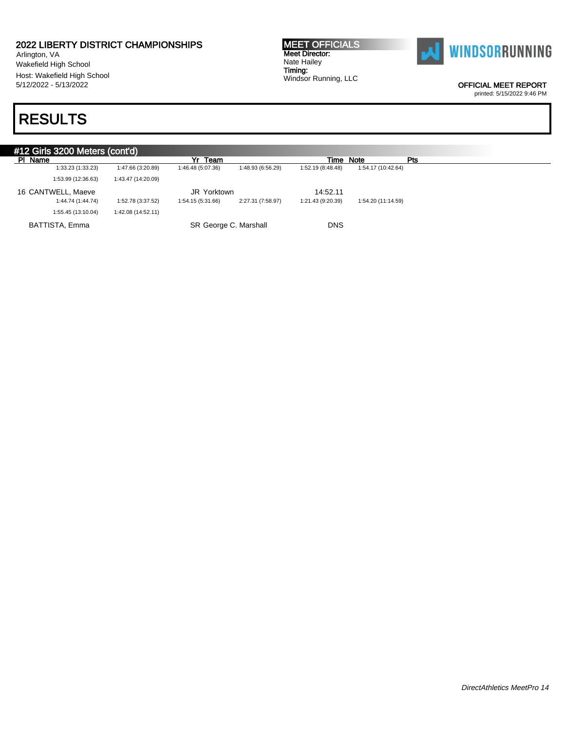Arlington, VA Wakefield High School Host: Wakefield High School 5/12/2022 - 5/13/2022

# RESULTS

MEET OFFICIALS Meet Director: Nate Hailey Timing: Windsor Running, LLC



OFFICIAL MEET REPORT

| #12 Girls 3200 Meters (cont'd) |                    |                       |                   |                   |                    |     |  |  |  |
|--------------------------------|--------------------|-----------------------|-------------------|-------------------|--------------------|-----|--|--|--|
| PI Name                        |                    | Yr Team               |                   | Time Note         |                    | Pts |  |  |  |
| 1:33.23 (1:33.23)              | 1:47.66 (3:20.89)  | 1:46.48 (5:07.36)     | 1:48.93 (6:56.29) | 1:52.19 (8:48.48) | 1:54.17 (10:42.64) |     |  |  |  |
| 1:53.99 (12:36.63)             | 1:43.47 (14:20.09) |                       |                   |                   |                    |     |  |  |  |
| 16 CANTWELL, Maeve             |                    | JR Yorktown           |                   | 14:52.11          |                    |     |  |  |  |
| 1:44.74 (1:44.74)              | 1:52.78 (3:37.52)  | 1:54.15 (5:31.66)     | 2:27.31 (7:58.97) | 1:21.43 (9:20.39) | 1:54.20 (11:14.59) |     |  |  |  |
| 1:55.45 (13:10.04)             | 1:42.08 (14:52.11) |                       |                   |                   |                    |     |  |  |  |
| BATTISTA, Emma                 |                    | SR George C. Marshall |                   | <b>DNS</b>        |                    |     |  |  |  |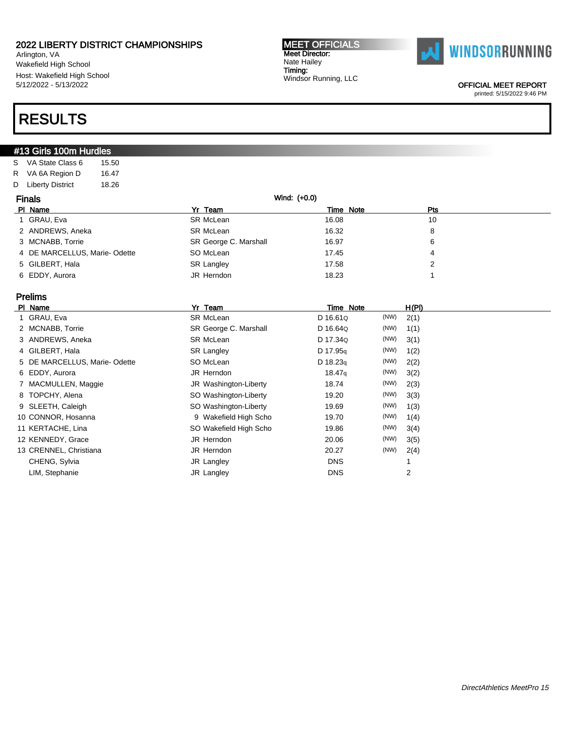Arlington, VA Wakefield High School Host: Wakefield High School 5/12/2022 - 5/13/2022

# RESULTS

### **#13 Girls 100m Hurdles**

S VA State Class 6 15.50 R VA 6A Region D 16.47 D Liberty District 18.26

| <b>Finals</b> |                              |                       | Wind: (+0.0) |     |  |
|---------------|------------------------------|-----------------------|--------------|-----|--|
|               | PI Name                      | Yr Team               | Time Note    | Pts |  |
|               | 1 GRAU, Eva                  | SR McLean             | 16.08        | 10  |  |
|               | 2 ANDREWS, Aneka             | SR McLean             | 16.32        | 8   |  |
|               | 3 MCNABB, Torrie             | SR George C. Marshall | 16.97        | 6   |  |
|               | 4 DE MARCELLUS, Marie-Odette | SO McLean             | 17.45        | 4   |  |
|               | 5 GILBERT, Hala              | <b>SR Langley</b>     | 17.58        | າ   |  |
|               | 6 EDDY, Aurora               | JR Herndon            | 18.23        |     |  |

### Prelims

| PI Name |                              | Yr Team                | Time Note          |      | H(PI) |
|---------|------------------------------|------------------------|--------------------|------|-------|
|         | 1 GRAU, Eva                  | SR McLean              | D 16.61Q           | (NW) | 2(1)  |
|         | 2 MCNABB, Torrie             | SR George C. Marshall  | D 16.64Q           | (NW) | 1(1)  |
|         | 3 ANDREWS, Aneka             | SR McLean              | D 17.34Q           | (NW) | 3(1)  |
|         | 4 GILBERT, Hala              | <b>SR Langley</b>      | D 17.95g           | (NW) | 1(2)  |
|         | 5 DE MARCELLUS, Marie-Odette | SO McLean              | D 18.23q           | (NW) | 2(2)  |
|         | 6 EDDY, Aurora               | JR Herndon             | 18.47 <sub>q</sub> | (NW) | 3(2)  |
|         | 7 MACMULLEN, Maggie          | JR Washington-Liberty  | 18.74              | (NW) | 2(3)  |
|         | 8 TOPCHY, Alena              | SO Washington-Liberty  | 19.20              | (NW) | 3(3)  |
|         | 9 SLEETH, Caleigh            | SO Washington-Liberty  | 19.69              | (NW) | 1(3)  |
|         | 10 CONNOR, Hosanna           | 9 Wakefield High Scho  | 19.70              | (NW) | 1(4)  |
|         | 11 KERTACHE, Lina            | SO Wakefield High Scho | 19.86              | (NW) | 3(4)  |
|         | 12 KENNEDY, Grace            | JR Herndon             | 20.06              | (NW) | 3(5)  |
|         | 13 CRENNEL, Christiana       | JR Herndon             | 20.27              | (NW) | 2(4)  |
|         | CHENG, Sylvia                | JR Langley             | <b>DNS</b>         |      |       |
|         | LIM, Stephanie               | JR Langley             | <b>DNS</b>         |      | 2     |

MEET OFFICIALS Meet Director: Nate Hailey Timing: Windsor Running, LLC



OFFICIAL MEET REPORT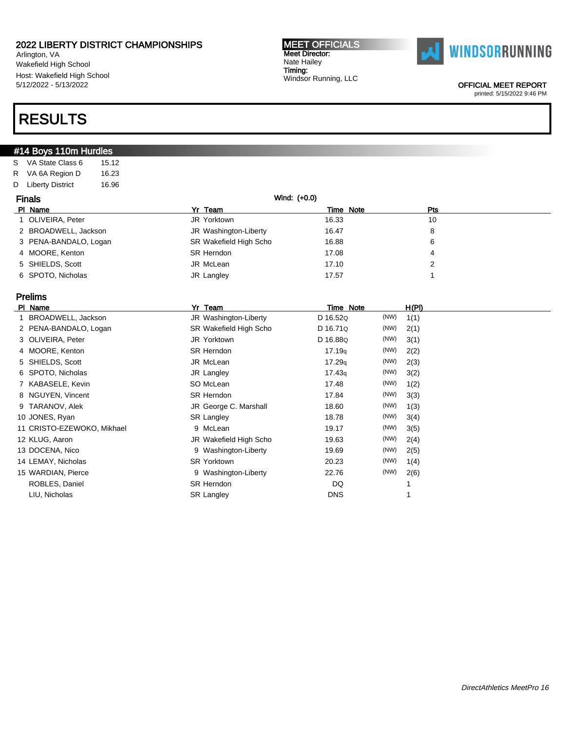Arlington, VA Wakefield High School Host: Wakefield High School 5/12/2022 - 5/13/2022

# RESULTS

### #14 Boys 110m Hurdles

S VA State Class 6 15.12 R VA 6A Region D 16.23 D Liberty District 16.96

| <b>Finals</b> |                       | Wind: (+0.0)           |       |                  |  |
|---------------|-----------------------|------------------------|-------|------------------|--|
|               | PI Name               | Yr Team                |       | Pts<br>Time Note |  |
|               | 1 OLIVEIRA, Peter     | JR Yorktown            | 16.33 | 10               |  |
|               | 2 BROADWELL, Jackson  | JR Washington-Liberty  | 16.47 | 8                |  |
|               | 3 PENA-BANDALO, Logan | SR Wakefield High Scho | 16.88 | 6                |  |
|               | 4 MOORE, Kenton       | <b>SR Herndon</b>      | 17.08 | 4                |  |
|               | 5 SHIELDS, Scott      | JR McLean              | 17.10 |                  |  |
|               | 6 SPOTO, Nicholas     | JR Langley             | 17.57 |                  |  |

### Prelims

| <b>PI</b> | Name                       | Yr Team                | Time Note  |      | H(PI) |
|-----------|----------------------------|------------------------|------------|------|-------|
|           | 1 BROADWELL, Jackson       | JR Washington-Liberty  | D 16.52Q   | (NW) | 1(1)  |
|           | 2 PENA-BANDALO, Logan      | SR Wakefield High Scho | D 16.71Q   | (NW) | 2(1)  |
|           | 3 OLIVEIRA, Peter          | JR Yorktown            | D 16.88Q   | (NW) | 3(1)  |
|           | 4 MOORE, Kenton            | <b>SR Herndon</b>      | 17.19q     | (NW) | 2(2)  |
|           | 5 SHIELDS, Scott           | JR McLean              | 17.29q     | (NW) | 2(3)  |
|           | 6 SPOTO, Nicholas          | JR Langley             | 17.43q     | (NW) | 3(2)  |
|           | 7 KABASELE, Kevin          | SO McLean              | 17.48      | (NW) | 1(2)  |
|           | 8 NGUYEN, Vincent          | SR Herndon             | 17.84      | (NW) | 3(3)  |
|           | 9 TARANOV, Alek            | JR George C. Marshall  | 18.60      | (NW) | 1(3)  |
|           | 10 JONES, Ryan             | <b>SR Langley</b>      | 18.78      | (NW) | 3(4)  |
|           | 11 CRISTO-EZEWOKO, Mikhael | 9 McLean               | 19.17      | (NW) | 3(5)  |
|           | 12 KLUG, Aaron             | JR Wakefield High Scho | 19.63      | (NW) | 2(4)  |
|           | 13 DOCENA, Nico            | 9 Washington-Liberty   | 19.69      | (NW) | 2(5)  |
|           | 14 LEMAY, Nicholas         | <b>SR Yorktown</b>     | 20.23      | (NW) | 1(4)  |
|           | 15 WARDIAN, Pierce         | 9 Washington-Liberty   | 22.76      | (NW) | 2(6)  |
|           | ROBLES, Daniel             | <b>SR Herndon</b>      | DQ         |      |       |
|           | LIU, Nicholas              | <b>SR Langley</b>      | <b>DNS</b> |      |       |
|           |                            |                        |            |      |       |

MEET OFFICIALS Meet Director: Nate Hailey Timing: Windsor Running, LLC



OFFICIAL MEET REPORT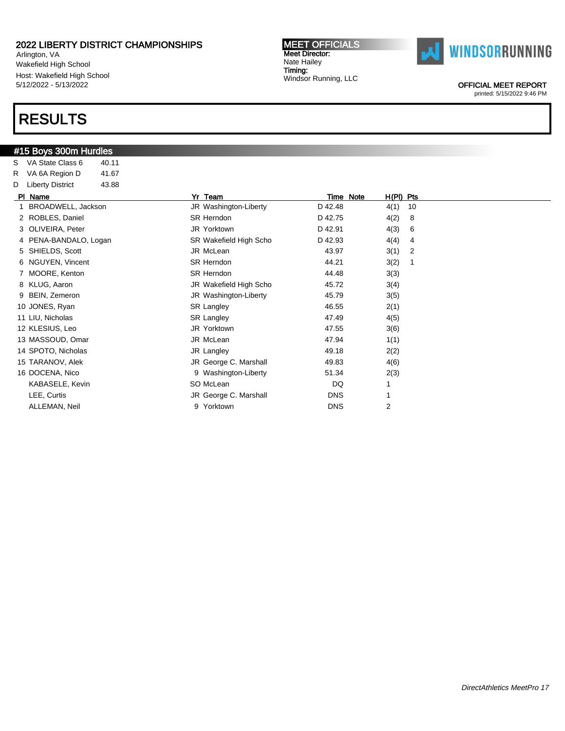Arlington, VA Wakefield High School Host: Wakefield High School 5/12/2022 - 5/13/2022

# RESULTS

### #15 Boys 300m Hurdles

S VA State Class 6 40.11 R VA 6A Region D 41.67 D Liberty District 43.88

#### MEET OFFICIALS Meet Director: Nate Hailey Timing: Windsor Running, LLC



OFFICIAL MEET REPORT

| PI Name            | Yr                    | Team                   | Time Note  | H(PI) Pts      |    |
|--------------------|-----------------------|------------------------|------------|----------------|----|
|                    | BROADWELL, Jackson    | JR Washington-Liberty  | D 42.48    | 4(1)           | 10 |
| 2 ROBLES, Daniel   |                       | SR Herndon             | D 42.75    | 4(2)           | 8  |
| 3 OLIVEIRA, Peter  |                       | JR Yorktown            | D 42.91    | 4(3)           | 6  |
|                    | 4 PENA-BANDALO, Logan | SR Wakefield High Scho | D 42.93    | 4(4)           | 4  |
| 5 SHIELDS, Scott   |                       | JR McLean              | 43.97      | 3(1)           | 2  |
| 6 NGUYEN, Vincent  |                       | SR Herndon             | 44.21      | 3(2)           |    |
| 7 MOORE, Kenton    |                       | SR Herndon             | 44.48      | 3(3)           |    |
| 8 KLUG, Aaron      |                       | JR Wakefield High Scho | 45.72      | 3(4)           |    |
| 9 BEIN, Zemeron    |                       | JR Washington-Liberty  | 45.79      | 3(5)           |    |
| 10 JONES, Ryan     |                       | <b>SR Langley</b>      | 46.55      | 2(1)           |    |
| 11 LIU, Nicholas   |                       | <b>SR Langley</b>      | 47.49      | 4(5)           |    |
| 12 KLESIUS, Leo    |                       | JR Yorktown            | 47.55      | 3(6)           |    |
| 13 MASSOUD, Omar   |                       | JR McLean              | 47.94      | 1(1)           |    |
| 14 SPOTO, Nicholas |                       | JR Langley             | 49.18      | 2(2)           |    |
| 15 TARANOV, Alek   |                       | JR George C. Marshall  | 49.83      | 4(6)           |    |
| 16 DOCENA, Nico    |                       | 9 Washington-Liberty   | 51.34      | 2(3)           |    |
|                    | KABASELE, Kevin       | SO McLean              | DQ         |                |    |
| LEE, Curtis        |                       | JR George C. Marshall  | <b>DNS</b> |                |    |
| ALLEMAN, Neil      |                       | 9 Yorktown             | <b>DNS</b> | $\overline{2}$ |    |
|                    |                       |                        |            |                |    |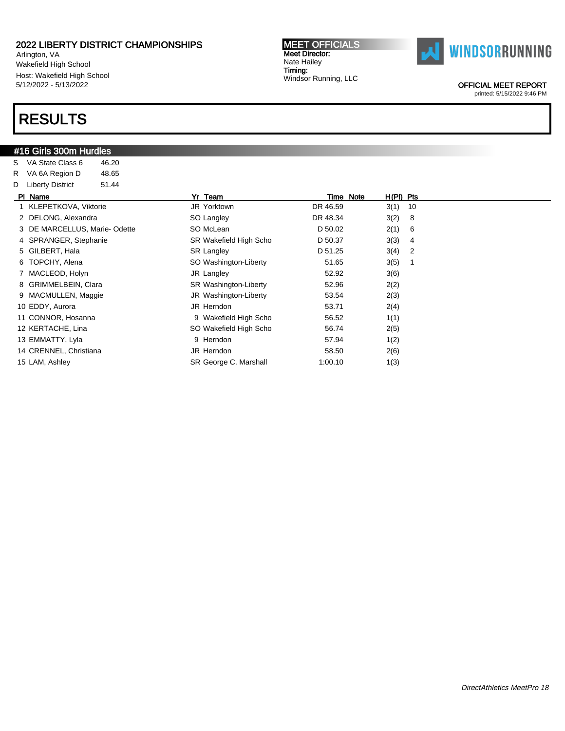Arlington, VA Wakefield High School Host: Wakefield High School 5/12/2022 - 5/13/2022

### RESULTS

#### #16 Girls 300m Hurdles

S VA State Class 6 46.20 R VA 6A Region D 48.65 D Liberty District 51.44 Pl Name Yr Team Time Note H(Pl) Pts 1 KLEPETKOVA, Viktorie JR Yorktown DR 46.59 3(1) 10 2 DELONG, Alexandra SO Langley DR 48.34 3(2) 8 3 DE MARCELLUS, Marie- Odette SO McLean D 50.02 2(1) 6 4 SPRANGER, Stephanie **SR Wakefield High Scho** D 50.37 3(3) 4 5 GILBERT, Hala SR Langley D 51.25 3(4) 2 6 TOPCHY, Alena SO Washington-Liberty 51.65 3(5) 1 7 MACLEOD, Holyn 3(6) 300 JR Langley 52.92 3(6) 8 GRIMMELBEIN, Clara SR Washington-Liberty 52.96 2(2) 9 MACMULLEN, Maggie  $\qquad \qquad \qquad$  JR Washington-Liberty 53.54 2(3) 10 EDDY, Aurora **10 EDDY, Aurora 10 EDDY**, Aurora 10 EDDY, Aurora 10 EDDY, Aurora 10 EU AUROR 10 H 11 CONNOR, Hosanna 9 Wakefield High Scho 56.52 1(1) 12 KERTACHE, Lina **12 KERTACHE, Lina** 36.74 2(5) 13 EMMATTY, Lyla 12 12 12 13 EMMATTY, Lyla 12 14 CRENNEL, Christiana **14 CRENNEL**, Christiana **JR Herndon** 58.50 **2(6)** 

15 LAM, Ashley **SR George C. Marshall** 1:00.10 1(3)

MEET OFFICIALS Meet Director: Nate Hailey Timing: Windsor Running, LLC



OFFICIAL MEET REPORT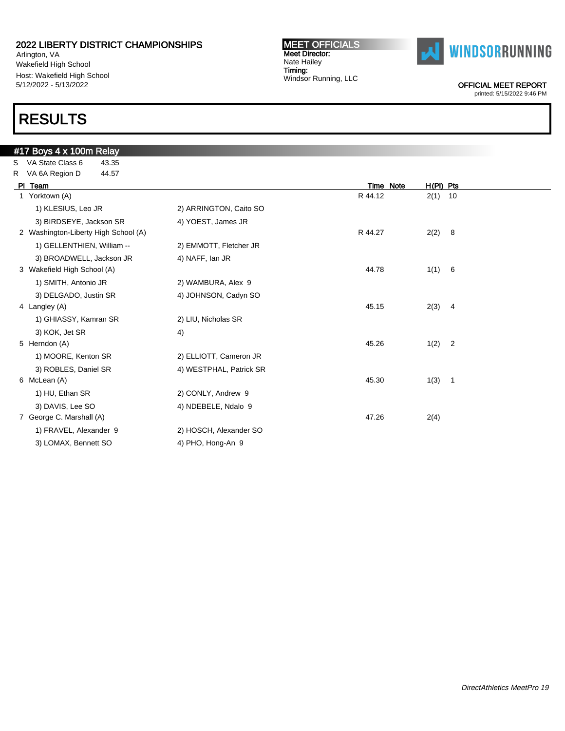Arlington, VA Wakefield High School Host: Wakefield High School 5/12/2022 - 5/13/2022

# RESULTS

#### MEET OFFICIALS Meet Director: Nate Hailey Timing: Windsor Running, LLC



OFFICIAL MEET REPORT

|    | #17 Boys 4 x 100m Relay              |                         |           |             |  |
|----|--------------------------------------|-------------------------|-----------|-------------|--|
| S. | VA State Class 6<br>43.35            |                         |           |             |  |
| R  | VA 6A Region D<br>44.57              |                         |           |             |  |
|    | PI Team                              |                         | Time Note | $H(PI)$ Pts |  |
|    | 1 Yorktown (A)                       |                         | R 44.12   | $2(1)$ 10   |  |
|    | 1) KLESIUS, Leo JR                   | 2) ARRINGTON, Caito SO  |           |             |  |
|    | 3) BIRDSEYE, Jackson SR              | 4) YOEST, James JR      |           |             |  |
|    | 2 Washington-Liberty High School (A) |                         | R 44.27   | 2(2) 8      |  |
|    | 1) GELLENTHIEN, William --           | 2) EMMOTT, Fletcher JR  |           |             |  |
|    | 3) BROADWELL, Jackson JR             | 4) NAFF, Ian JR         |           |             |  |
|    | 3 Wakefield High School (A)          |                         | 44.78     | 1(1) 6      |  |
|    | 1) SMITH, Antonio JR                 | 2) WAMBURA, Alex 9      |           |             |  |
|    | 3) DELGADO, Justin SR                | 4) JOHNSON, Cadyn SO    |           |             |  |
|    | 4 Langley (A)                        |                         | 45.15     | 2(3) 4      |  |
|    | 1) GHIASSY, Kamran SR                | 2) LIU, Nicholas SR     |           |             |  |
|    | 3) KOK, Jet SR                       | 4)                      |           |             |  |
|    | 5 Herndon (A)                        |                         | 45.26     | $1(2)$ 2    |  |
|    | 1) MOORE, Kenton SR                  | 2) ELLIOTT, Cameron JR  |           |             |  |
|    | 3) ROBLES, Daniel SR                 | 4) WESTPHAL, Patrick SR |           |             |  |
|    | 6 McLean (A)                         |                         | 45.30     | 1(3) 1      |  |
|    | 1) HU, Ethan SR                      | 2) CONLY, Andrew 9      |           |             |  |
|    | 3) DAVIS, Lee SO                     | 4) NDEBELE, Ndalo 9     |           |             |  |
|    | 7 George C. Marshall (A)             |                         | 47.26     | 2(4)        |  |
|    | 1) FRAVEL, Alexander 9               | 2) HOSCH, Alexander SO  |           |             |  |
|    | 3) LOMAX, Bennett SO                 | 4) PHO, Hong-An 9       |           |             |  |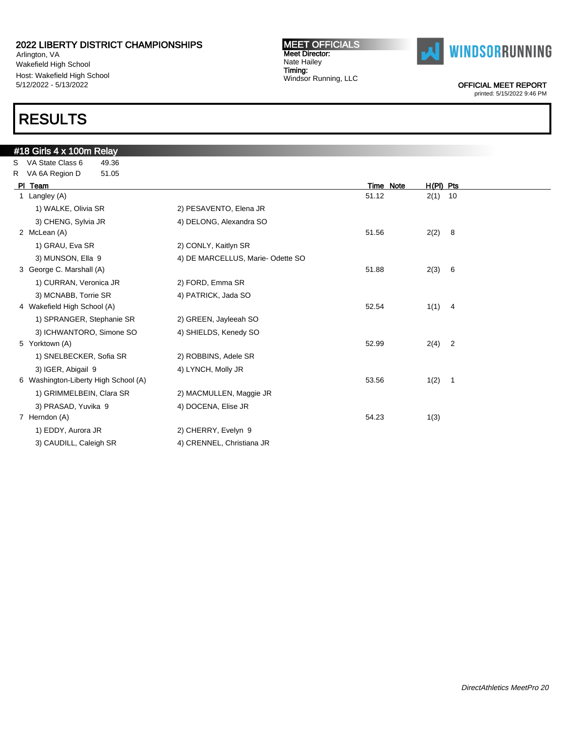Arlington, VA Wakefield High School Host: Wakefield High School 5/12/2022 - 5/13/2022

# RESULTS

#### MEET OFFICIALS Meet Director: Nate Hailey Timing: Windsor Running, LLC



OFFICIAL MEET REPORT

| #18 Girls 4 x 100m Relay  |                                                                                                                                                                                                                        |                  |                                  |
|---------------------------|------------------------------------------------------------------------------------------------------------------------------------------------------------------------------------------------------------------------|------------------|----------------------------------|
| 49.36                     |                                                                                                                                                                                                                        |                  |                                  |
| 51.05                     |                                                                                                                                                                                                                        |                  |                                  |
|                           |                                                                                                                                                                                                                        | <b>Time Note</b> | $H(PI)$ Pts                      |
|                           |                                                                                                                                                                                                                        | 51.12            | $2(1)$ 10                        |
| 1) WALKE, Olivia SR       | 2) PESAVENTO, Elena JR                                                                                                                                                                                                 |                  |                                  |
| 3) CHENG, Sylvia JR       | 4) DELONG, Alexandra SO                                                                                                                                                                                                |                  |                                  |
|                           |                                                                                                                                                                                                                        | 51.56            | 2(2)<br>- 8                      |
| 1) GRAU, Eva SR           | 2) CONLY, Kaitlyn SR                                                                                                                                                                                                   |                  |                                  |
| 3) MUNSON, Ella 9         | 4) DE MARCELLUS, Marie-Odette SO                                                                                                                                                                                       |                  |                                  |
|                           |                                                                                                                                                                                                                        | 51.88            | 2(3)<br>- 6                      |
| 1) CURRAN, Veronica JR    | 2) FORD, Emma SR                                                                                                                                                                                                       |                  |                                  |
| 3) MCNABB, Torrie SR      | 4) PATRICK, Jada SO                                                                                                                                                                                                    |                  |                                  |
|                           |                                                                                                                                                                                                                        | 52.54            | 1(1)<br>$\overline{4}$           |
| 1) SPRANGER, Stephanie SR | 2) GREEN, Jayleeah SO                                                                                                                                                                                                  |                  |                                  |
| 3) ICHWANTORO, Simone SO  | 4) SHIELDS, Kenedy SO                                                                                                                                                                                                  |                  |                                  |
|                           |                                                                                                                                                                                                                        | 52.99            | 2(4)<br>$\overline{\phantom{a}}$ |
| 1) SNELBECKER, Sofia SR   | 2) ROBBINS, Adele SR                                                                                                                                                                                                   |                  |                                  |
| 3) IGER, Abigail 9        | 4) LYNCH, Molly JR                                                                                                                                                                                                     |                  |                                  |
|                           |                                                                                                                                                                                                                        | 53.56            | 1(2)<br>$\overline{\phantom{1}}$ |
| 1) GRIMMELBEIN, Clara SR  | 2) MACMULLEN, Maggie JR                                                                                                                                                                                                |                  |                                  |
| 3) PRASAD, Yuvika 9       | 4) DOCENA, Elise JR                                                                                                                                                                                                    |                  |                                  |
|                           |                                                                                                                                                                                                                        | 54.23            | 1(3)                             |
| 1) EDDY, Aurora JR        | 2) CHERRY, Evelyn 9                                                                                                                                                                                                    |                  |                                  |
| 3) CAUDILL, Caleigh SR    | 4) CRENNEL, Christiana JR                                                                                                                                                                                              |                  |                                  |
|                           | VA State Class 6<br>R VA 6A Region D<br>PI Team<br>1 Langley (A)<br>2 McLean (A)<br>3 George C. Marshall (A)<br>4 Wakefield High School (A)<br>5 Yorktown (A)<br>6 Washington-Liberty High School (A)<br>7 Herndon (A) |                  |                                  |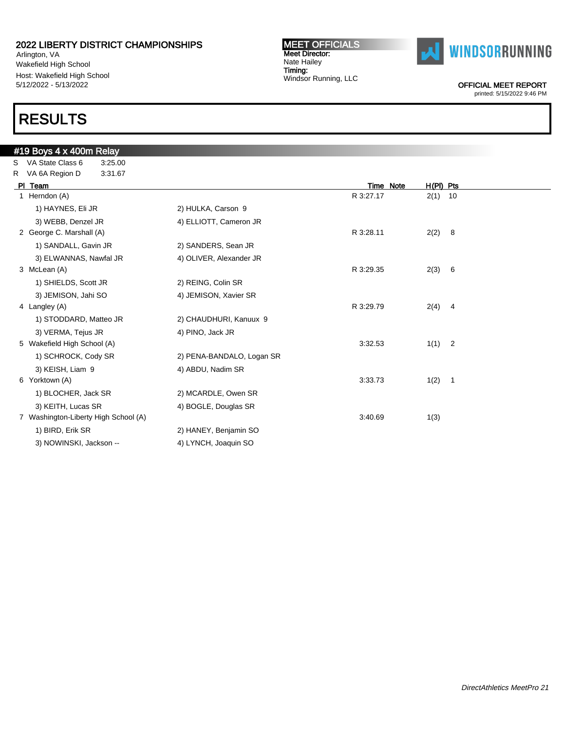Arlington, VA Wakefield High School Host: Wakefield High School 5/12/2022 - 5/13/2022

# RESULTS

#### MEET OFFICIALS Meet Director: Nate Hailey Timing: Windsor Running, LLC



OFFICIAL MEET REPORT

| #19 Boys 4 x 400m Relay              |                           |           |                        |  |
|--------------------------------------|---------------------------|-----------|------------------------|--|
| S VA State Class 6<br>3:25.00        |                           |           |                        |  |
| R VA 6A Region D<br>3:31.67          |                           |           |                        |  |
| PI Team                              |                           | Time Note | H(PI) Pts              |  |
| 1 Herndon (A)                        |                           | R 3:27.17 | $2(1)$ 10              |  |
| 1) HAYNES, Eli JR                    | 2) HULKA, Carson 9        |           |                        |  |
| 3) WEBB, Denzel JR                   | 4) ELLIOTT, Cameron JR    |           |                        |  |
| 2 George C. Marshall (A)             |                           | R 3:28.11 | 2(2)<br>- 8            |  |
| 1) SANDALL, Gavin JR                 | 2) SANDERS, Sean JR       |           |                        |  |
| 3) ELWANNAS, Nawfal JR               | 4) OLIVER, Alexander JR   |           |                        |  |
| 3 McLean (A)                         |                           | R 3:29.35 | 2(3)<br>- 6            |  |
| 1) SHIELDS, Scott JR                 | 2) REING, Colin SR        |           |                        |  |
| 3) JEMISON, Jahi SO                  | 4) JEMISON, Xavier SR     |           |                        |  |
| 4 Langley (A)                        |                           | R 3:29.79 | $2(4)$ 4               |  |
| 1) STODDARD, Matteo JR               | 2) CHAUDHURI, Kanuux 9    |           |                        |  |
| 3) VERMA, Tejus JR                   | 4) PINO, Jack JR          |           |                        |  |
| 5 Wakefield High School (A)          |                           | 3:32.53   | $\overline{2}$<br>1(1) |  |
| 1) SCHROCK, Cody SR                  | 2) PENA-BANDALO, Logan SR |           |                        |  |
| 3) KEISH, Liam 9                     | 4) ABDU, Nadim SR         |           |                        |  |
| 6 Yorktown (A)                       |                           | 3:33.73   | 1(2)<br>$\overline{1}$ |  |
| 1) BLOCHER, Jack SR                  | 2) MCARDLE, Owen SR       |           |                        |  |
| 3) KEITH, Lucas SR                   | 4) BOGLE, Douglas SR      |           |                        |  |
| 7 Washington-Liberty High School (A) |                           | 3:40.69   | 1(3)                   |  |
| 1) BIRD, Erik SR                     | 2) HANEY, Benjamin SO     |           |                        |  |
| 3) NOWINSKI, Jackson --              | 4) LYNCH, Joaquin SO      |           |                        |  |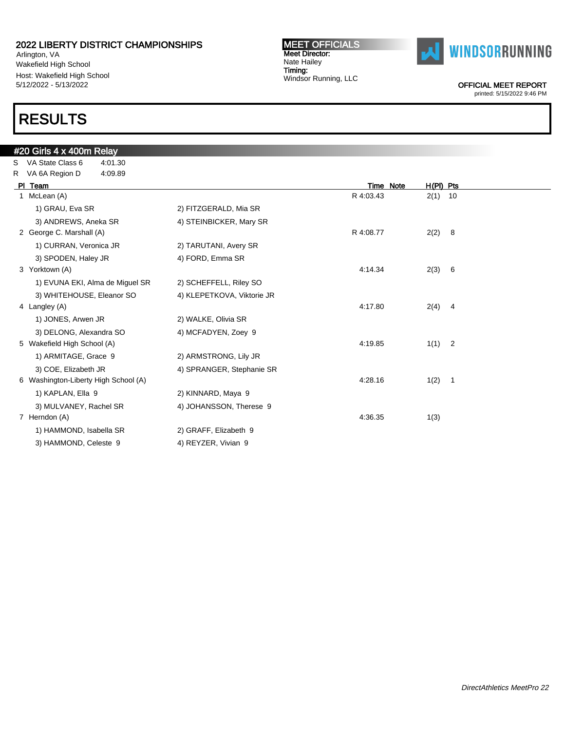Arlington, VA Wakefield High School Host: Wakefield High School 5/12/2022 - 5/13/2022

# RESULTS

#### MEET OFFICIALS Meet Director: Nate Hailey Timing: Windsor Running, LLC



OFFICIAL MEET REPORT

| #20 Girls 4 x 400m Relay             |                            |           |                                  |  |
|--------------------------------------|----------------------------|-----------|----------------------------------|--|
| S VA State Class 6<br>4:01.30        |                            |           |                                  |  |
| R VA 6A Region D<br>4:09.89          |                            |           |                                  |  |
| PI Team                              |                            | Time Note | $H(PI)$ Pts                      |  |
| 1 McLean (A)                         |                            | R 4:03.43 | $2(1)$ 10                        |  |
| 1) GRAU, Eva SR                      | 2) FITZGERALD, Mia SR      |           |                                  |  |
| 3) ANDREWS, Aneka SR                 | 4) STEINBICKER, Mary SR    |           |                                  |  |
| 2 George C. Marshall (A)             |                            | R 4:08.77 | 2(2)<br>8                        |  |
| 1) CURRAN, Veronica JR               | 2) TARUTANI, Avery SR      |           |                                  |  |
| 3) SPODEN, Haley JR                  | 4) FORD, Emma SR           |           |                                  |  |
| 3 Yorktown (A)                       |                            | 4:14.34   | 2(3)<br>6                        |  |
| 1) EVUNA EKI, Alma de Miquel SR      | 2) SCHEFFELL, Riley SO     |           |                                  |  |
| 3) WHITEHOUSE, Eleanor SO            | 4) KLEPETKOVA, Viktorie JR |           |                                  |  |
| 4 Langley (A)                        |                            | 4:17.80   | 2(4)<br>$\overline{\mathbf{4}}$  |  |
| 1) JONES, Arwen JR                   | 2) WALKE, Olivia SR        |           |                                  |  |
| 3) DELONG, Alexandra SO              | 4) MCFADYEN, Zoey 9        |           |                                  |  |
| 5 Wakefield High School (A)          |                            | 4:19.85   | $\overline{\phantom{0}}$<br>1(1) |  |
| 1) ARMITAGE, Grace 9                 | 2) ARMSTRONG, Lily JR      |           |                                  |  |
| 3) COE, Elizabeth JR                 | 4) SPRANGER, Stephanie SR  |           |                                  |  |
| 6 Washington-Liberty High School (A) |                            | 4:28.16   | 1(2)<br>$\overline{1}$           |  |
| 1) KAPLAN, Ella 9                    | 2) KINNARD, Maya 9         |           |                                  |  |
| 3) MULVANEY, Rachel SR               | 4) JOHANSSON, Therese 9    |           |                                  |  |
| 7 Herndon (A)                        |                            | 4:36.35   | 1(3)                             |  |
| 1) HAMMOND, Isabella SR              | 2) GRAFF, Elizabeth 9      |           |                                  |  |
| 3) HAMMOND, Celeste 9                | 4) REYZER, Vivian 9        |           |                                  |  |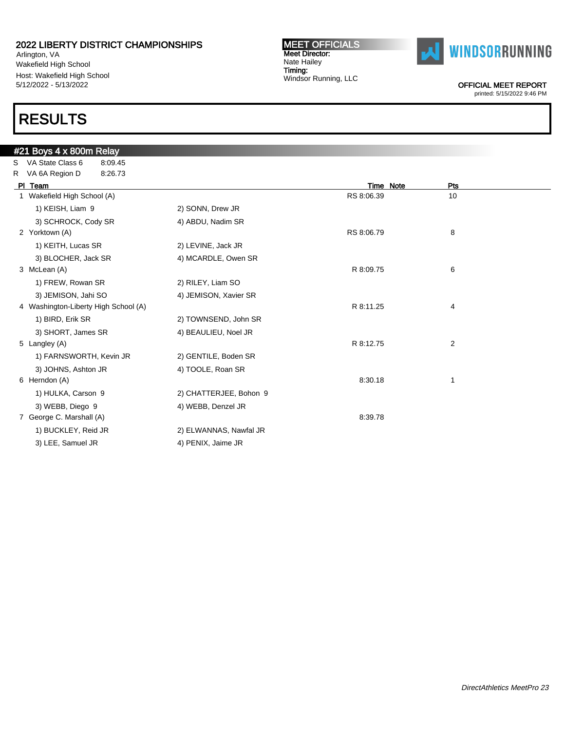Arlington, VA Wakefield High School Host: Wakefield High School 5/12/2022 - 5/13/2022

# RESULTS

MEET OFFICIALS Meet Director: Nate Hailey Timing: Windsor Running, LLC



OFFICIAL MEET REPORT

|    | #21 Boys 4 x 800m Relay              |                        |            |     |
|----|--------------------------------------|------------------------|------------|-----|
| S. | VA State Class 6<br>8:09.45          |                        |            |     |
|    | R VA 6A Region D<br>8:26.73          |                        |            |     |
|    | PI Team                              |                        | Time Note  | Pts |
|    | 1 Wakefield High School (A)          |                        | RS 8:06.39 | 10  |
|    | 1) KEISH, Liam 9                     | 2) SONN, Drew JR       |            |     |
|    | 3) SCHROCK, Cody SR                  | 4) ABDU, Nadim SR      |            |     |
|    | 2 Yorktown (A)                       |                        | RS 8:06.79 | 8   |
|    | 1) KEITH, Lucas SR                   | 2) LEVINE, Jack JR     |            |     |
|    | 3) BLOCHER, Jack SR                  | 4) MCARDLE, Owen SR    |            |     |
|    | 3 McLean (A)                         |                        | R 8:09.75  | 6   |
|    | 1) FREW, Rowan SR                    | 2) RILEY, Liam SO      |            |     |
|    | 3) JEMISON, Jahi SO                  | 4) JEMISON, Xavier SR  |            |     |
|    | 4 Washington-Liberty High School (A) |                        | R 8:11.25  | 4   |
|    | 1) BIRD, Erik SR                     | 2) TOWNSEND, John SR   |            |     |
|    | 3) SHORT, James SR                   | 4) BEAULIEU, Noel JR   |            |     |
|    | 5 Langley (A)                        |                        | R 8:12.75  | 2   |
|    | 1) FARNSWORTH, Kevin JR              | 2) GENTILE, Boden SR   |            |     |
|    | 3) JOHNS, Ashton JR                  | 4) TOOLE, Roan SR      |            |     |
|    | 6 Herndon (A)                        |                        | 8:30.18    | 1   |
|    | 1) HULKA, Carson 9                   | 2) CHATTERJEE, Bohon 9 |            |     |
|    | 3) WEBB, Diego 9                     | 4) WEBB, Denzel JR     |            |     |
|    | 7 George C. Marshall (A)             |                        | 8:39.78    |     |
|    | 1) BUCKLEY, Reid JR                  | 2) ELWANNAS, Nawfal JR |            |     |
|    | 3) LEE, Samuel JR                    | 4) PENIX, Jaime JR     |            |     |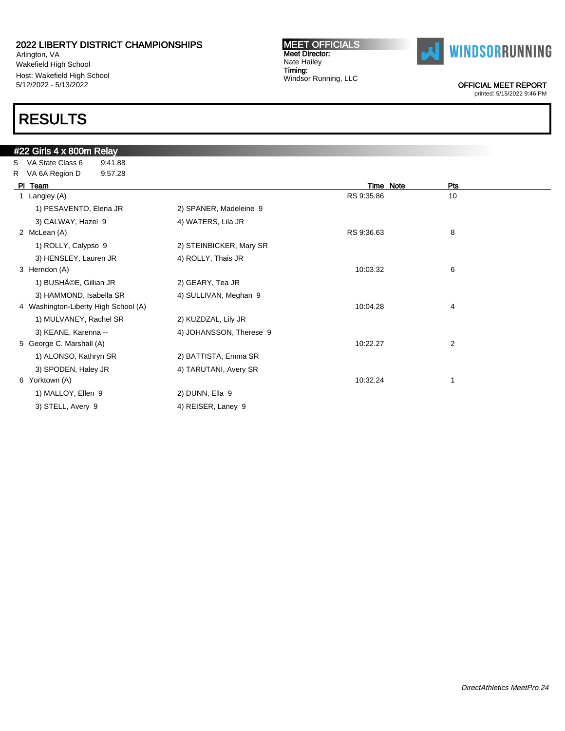Arlington, VA Wakefield High School Host: Wakefield High School 5/12/2022 - 5/13/2022

# RESULTS

#### MEET OFFICIALS Meet Director: Nate Hailey Timing: Windsor Running, LLC



OFFICIAL MEET REPORT

|   | #22 Girls 4 x 800m Relay             |                         |            |                |
|---|--------------------------------------|-------------------------|------------|----------------|
| S | VA State Class 6<br>9:41.88          |                         |            |                |
|   | R VA 6A Region D<br>9:57.28          |                         |            |                |
|   | PI Team                              |                         | Time Note  | Pts            |
|   | 1 Langley (A)                        |                         | RS 9:35.86 | 10             |
|   | 1) PESAVENTO, Elena JR               | 2) SPANER, Madeleine 9  |            |                |
|   | 3) CALWAY, Hazel 9                   | 4) WATERS, Lila JR      |            |                |
|   | 2 McLean (A)                         |                         | RS 9:36.63 | 8              |
|   | 1) ROLLY, Calypso 9                  | 2) STEINBICKER, Mary SR |            |                |
|   | 3) HENSLEY, Lauren JR                | 4) ROLLY, Thais JR      |            |                |
|   | 3 Herndon (A)                        |                         | 10:03.32   | 6              |
|   | 1) BUSHéE, Gillian JR                | 2) GEARY, Tea JR        |            |                |
|   | 3) HAMMOND, Isabella SR              | 4) SULLIVAN, Meghan 9   |            |                |
|   | 4 Washington-Liberty High School (A) |                         | 10:04.28   | 4              |
|   | 1) MULVANEY, Rachel SR               | 2) KUZDZAL, Lily JR     |            |                |
|   | 3) KEANE, Karenna --                 | 4) JOHANSSON, Therese 9 |            |                |
|   | 5 George C. Marshall (A)             |                         | 10:22.27   | $\overline{2}$ |
|   | 1) ALONSO, Kathryn SR                | 2) BATTISTA, Emma SR    |            |                |
|   | 3) SPODEN, Haley JR                  | 4) TARUTANI, Avery SR   |            |                |
|   | 6 Yorktown (A)                       |                         | 10:32.24   | 1              |
|   | 1) MALLOY, Ellen 9                   | 2) DUNN, Ella 9         |            |                |
|   | 3) STELL, Avery 9                    | 4) REISER, Laney 9      |            |                |
|   |                                      |                         |            |                |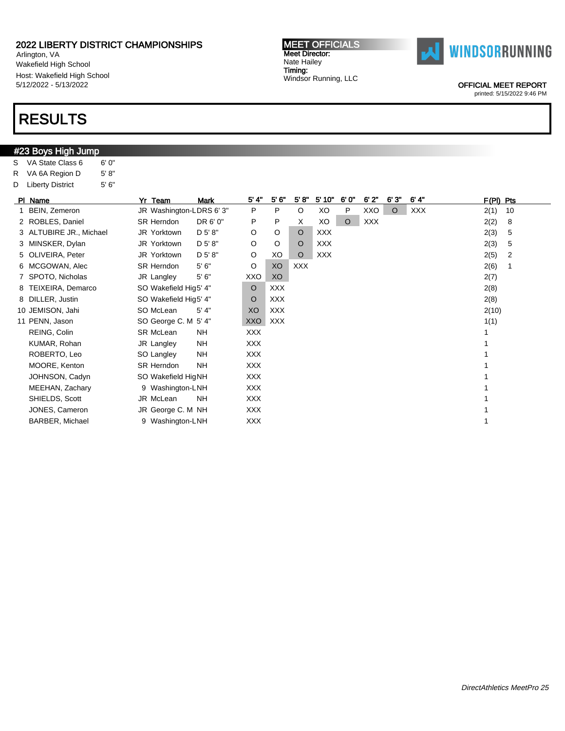Arlington, VA Wakefield High School Host: Wakefield High School 5/12/2022 - 5/13/2022

### RESULTS

#23 Boys High Jump

| S | VA State Class 6        | 6'0''  |                         |             |            |            |            |            |         |            |         |            |             |    |
|---|-------------------------|--------|-------------------------|-------------|------------|------------|------------|------------|---------|------------|---------|------------|-------------|----|
| R | VA 6A Region D          | 5' 8'' |                         |             |            |            |            |            |         |            |         |            |             |    |
| D | <b>Liberty District</b> | 5'6''  |                         |             |            |            |            |            |         |            |         |            |             |    |
|   | PI Name                 |        | Yr Team                 | <b>Mark</b> | 5' 4"      | 5'6'       | 5' 8''     | 5' 10"     | 6'0"    | 6'2"       | 6'3'    | 6' 4''     | $F(PI)$ Pts |    |
|   | 1 BEIN, Zemeron         |        | JR Washington-LDRS 6'3" |             | P          | P          | $\circ$    | XO         | P       | XXO        | $\circ$ | <b>XXX</b> | 2(1)        | 10 |
|   | 2 ROBLES, Daniel        |        | <b>SR Herndon</b>       | DR 6' 0"    | P          | P          | Χ          | XO         | $\circ$ | <b>XXX</b> |         |            | 2(2)        | 8  |
|   | 3 ALTUBIRE JR., Michael |        | JR Yorktown             | D 5' 8"     | $\circ$    | O          | $\circ$    | <b>XXX</b> |         |            |         |            | 2(3)        | 5  |
|   | 3 MINSKER, Dylan        |        | JR Yorktown             | D 5' 8"     | O          | O          | O          | <b>XXX</b> |         |            |         |            | 2(3)        | 5  |
|   | 5 OLIVEIRA, Peter       |        | JR Yorktown             | D 5' 8"     | O          | XO         | $\circ$    | <b>XXX</b> |         |            |         |            | 2(5)        | 2  |
|   | 6 MCGOWAN, Alec         |        | <b>SR Herndon</b>       | 5'6''       | O          | XO         | <b>XXX</b> |            |         |            |         |            | 2(6)        | 1  |
|   | 7 SPOTO, Nicholas       |        | JR Langley              | $5'6''$     | XXO        | XO         |            |            |         |            |         |            | 2(7)        |    |
|   | 8 TEIXEIRA, Demarco     |        | SO Wakefield Hig5' 4"   |             | O          | <b>XXX</b> |            |            |         |            |         |            | 2(8)        |    |
|   | 8 DILLER, Justin        |        | SO Wakefield Hig5' 4"   |             | $\circ$    | <b>XXX</b> |            |            |         |            |         |            | 2(8)        |    |
|   | 10 JEMISON, Jahi        |        | SO McLean               | 5' 4"       | XO         | <b>XXX</b> |            |            |         |            |         |            | 2(10)       |    |
|   | 11 PENN, Jason          |        | SO George C. M 5' 4"    |             | XXO        | <b>XXX</b> |            |            |         |            |         |            | 1(1)        |    |
|   | REING, Colin            |        | <b>SR McLean</b>        | <b>NH</b>   | <b>XXX</b> |            |            |            |         |            |         |            |             |    |
|   | KUMAR, Rohan            |        | JR Langley              | <b>NH</b>   | <b>XXX</b> |            |            |            |         |            |         |            |             |    |
|   | ROBERTO, Leo            |        | SO Langley              | <b>NH</b>   | <b>XXX</b> |            |            |            |         |            |         |            |             |    |
|   | MOORE, Kenton           |        | <b>SR Herndon</b>       | <b>NH</b>   | <b>XXX</b> |            |            |            |         |            |         |            |             |    |
|   | JOHNSON, Cadyn          |        | SO Wakefield HigNH      |             | <b>XXX</b> |            |            |            |         |            |         |            |             |    |
|   | MEEHAN, Zachary         |        | 9 Washington-LNH        |             | <b>XXX</b> |            |            |            |         |            |         |            |             |    |
|   | SHIELDS, Scott          |        | JR McLean               | <b>NH</b>   | <b>XXX</b> |            |            |            |         |            |         |            |             |    |
|   | JONES, Cameron          |        | JR George C. M NH       |             | <b>XXX</b> |            |            |            |         |            |         |            |             |    |
|   | <b>BARBER, Michael</b>  |        | 9 Washington-LNH        |             | <b>XXX</b> |            |            |            |         |            |         |            |             |    |

OFFICIAL MEET REPORT printed: 5/15/2022 9:46 PM



MEET OFFICIALS Meet Director: Nate Hailey Timing: Windsor Running, LLC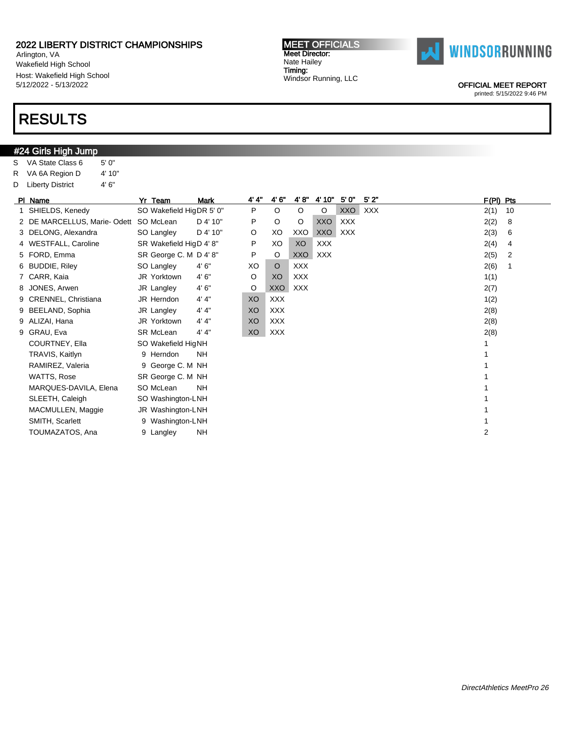Arlington, VA Wakefield High School Host: Wakefield High School 5/12/2022 - 5/13/2022

# RESULTS

#24 Girls High Jump S VA State Class 6 5' 0"

| R | VA 6A Region D<br>4' 10"         |                          |                         |       |            |            |            |            |            |           |    |
|---|----------------------------------|--------------------------|-------------------------|-------|------------|------------|------------|------------|------------|-----------|----|
| D | 4'6''<br><b>Liberty District</b> |                          |                         |       |            |            |            |            |            |           |    |
|   | PI Name                          | Yr Team                  | <b>Mark</b>             | 4' 4" | 4'6''      | 4' 8''     | 4' 10"     | 5'0''      | 5'2"       | F(PI) Pts |    |
|   | 1 SHIELDS, Kenedy                | SO Wakefield HigDR 5' 0" |                         | P     | $\circ$    | $\circ$    | $\circ$    | XXO        | <b>XXX</b> | 2(1)      | 10 |
|   | 2 DE MARCELLUS, Marie-Odett      | SO McLean                | D 4' 10"                | P     | $\circ$    | O          | <b>XXO</b> | <b>XXX</b> |            | 2(2)      | 8  |
|   | 3 DELONG, Alexandra              | SO Langley               | D 4' 10"                | O     | XO         | XXO        | <b>XXO</b> | <b>XXX</b> |            | 2(3)      | 6  |
|   | 4 WESTFALL, Caroline             |                          | SR Wakefield HigD 4' 8" |       | XO         | XO         | <b>XXX</b> |            |            | 2(4)      | 4  |
|   | 5 FORD, Emma                     | SR George C. M D 4' 8"   |                         | P     | O          | <b>XXO</b> | <b>XXX</b> |            |            | 2(5)      | 2  |
|   | 6 BUDDIE, Riley                  | SO Langley               | 4'6''                   | XO    | $\circ$    | <b>XXX</b> |            |            |            | 2(6)      | 1  |
|   | 7 CARR, Kaia                     | JR Yorktown              | 4'6''                   | O     | XO         | <b>XXX</b> |            |            |            | 1(1)      |    |
|   | 8 JONES, Arwen                   | JR Langley               | 4'6''                   | O     | <b>XXO</b> | <b>XXX</b> |            |            |            | 2(7)      |    |
|   | 9 CRENNEL, Christiana            | JR Herndon               | 4' 4''                  | XO    | <b>XXX</b> |            |            |            |            | 1(2)      |    |
|   | 9 BEELAND, Sophia                | JR Langley               | 4' 4''                  | XO    | <b>XXX</b> |            |            |            |            | 2(8)      |    |
|   | 9 ALIZAI, Hana                   | JR Yorktown              | 4' 4''                  | XO    | <b>XXX</b> |            |            |            |            | 2(8)      |    |
|   | 9 GRAU, Eva                      | <b>SR McLean</b>         | 4' 4''                  | XO    | <b>XXX</b> |            |            |            |            | 2(8)      |    |
|   | COURTNEY, Ella                   | SO Wakefield HigNH       |                         |       |            |            |            |            |            |           |    |
|   | <b>TRAVIS, Kaitlyn</b>           | 9 Herndon                | <b>NH</b>               |       |            |            |            |            |            |           |    |
|   | RAMIREZ, Valeria                 | 9 George C. M NH         |                         |       |            |            |            |            |            |           |    |
|   | WATTS, Rose                      | SR George C. M NH        |                         |       |            |            |            |            |            |           |    |
|   | MARQUES-DAVILA, Elena            | SO McLean                | <b>NH</b>               |       |            |            |            |            |            |           |    |
|   | SLEETH, Caleigh                  | SO Washington-LNH        |                         |       |            |            |            |            |            |           |    |
|   | MACMULLEN, Maggie                | JR Washington-LNH        |                         |       |            |            |            |            |            |           |    |
|   | SMITH, Scarlett                  | 9 Washington-LNH         |                         |       |            |            |            |            |            |           |    |
|   | TOUMAZATOS, Ana                  | 9 Langley                | <b>NH</b>               |       |            |            |            |            |            | 2         |    |

MEET OFFICIALS Meet Director: Nate Hailey Timing: Windsor Running, LLC



OFFICIAL MEET REPORT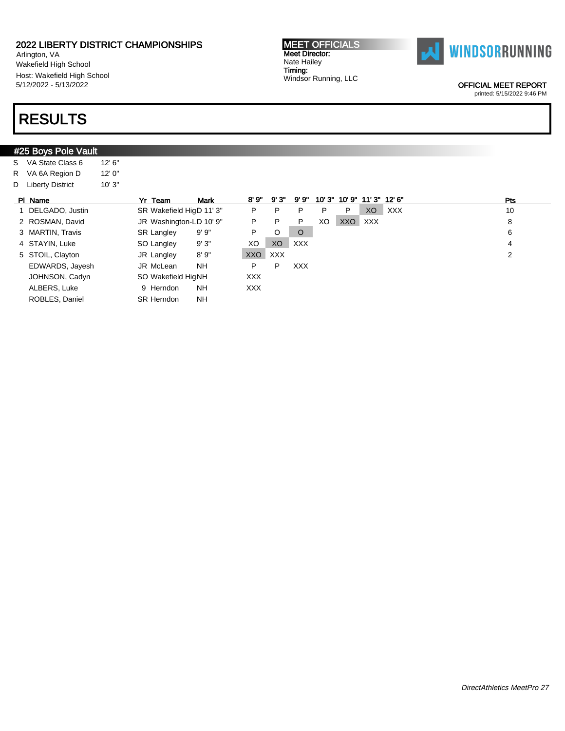Arlington, VA Wakefield High School Host: Wakefield High School 5/12/2022 - 5/13/2022

# RESULTS

| #25 Boys Pole Vault |         |                          |             |            |            |            |       |       |        |            |     |  |
|---------------------|---------|--------------------------|-------------|------------|------------|------------|-------|-------|--------|------------|-----|--|
| S VA State Class 6  | 12' 6'' |                          |             |            |            |            |       |       |        |            |     |  |
| R VA 6A Region D    | 12'0''  |                          |             |            |            |            |       |       |        |            |     |  |
| D Liberty District  | 10'3"   |                          |             |            |            |            |       |       |        |            |     |  |
| PI Name             |         | Yr Team                  | <b>Mark</b> | 8'9"       | 9'3"       | 9'9"       | 10'3' | 10'9" | 11'3'' | 12' 6"     | Pts |  |
| 1 DELGADO, Justin   |         | SR Wakefield HigD 11' 3" |             | P          | P          | P          | P     | P     | XO     | <b>XXX</b> | 10  |  |
| 2 ROSMAN, David     |         | JR Washington-LD 10' 9"  |             | P          | P          | P          | XO    | XXO   | XXX    |            | 8   |  |
| 3 MARTIN, Travis    |         | <b>SR Langley</b>        | 9'9''       | P          | O          | $\circ$    |       |       |        |            | 6   |  |
| 4 STAYIN, Luke      |         | SO Langley               | 9'3"        | XO         | XO         | <b>XXX</b> |       |       |        |            | 4   |  |
| 5 STOIL, Clayton    |         | JR Langley               | 8'9''       | <b>XXO</b> | <b>XXX</b> |            |       |       |        |            | 2   |  |
| EDWARDS, Jayesh     |         | JR McLean                | <b>NH</b>   | P          | P          | <b>XXX</b> |       |       |        |            |     |  |
| JOHNSON, Cadyn      |         | SO Wakefield HigNH       |             | <b>XXX</b> |            |            |       |       |        |            |     |  |
| ALBERS, Luke        |         | 9 Herndon                | NH.         | XXX.       |            |            |       |       |        |            |     |  |
| ROBLES, Daniel      |         | <b>SR Herndon</b>        | <b>NH</b>   |            |            |            |       |       |        |            |     |  |



OFFICIAL MEET REPORT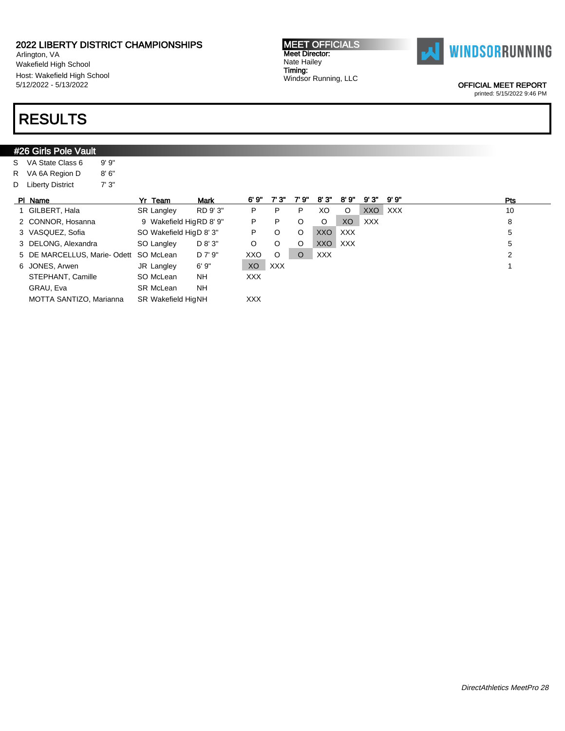Arlington, VA Wakefield High School Host: Wakefield High School 5/12/2022 - 5/13/2022

# RESULTS

#26 Girls Pole Vault S VA State Class 6 9' 9"

| <b>MEET OFFICIALS</b> |
|-----------------------|
| <b>Meet Director:</b> |
| Nate Hailey           |
| Timing:               |
| Windsor Running, LLC  |



OFFICIAL MEET REPORT

printed: 5/15/2022 9:46 PM

### R VA 6A Region D 8' 6" D Liberty District 7' 3" PI Name Yr Team Mark 6' 9" 7' 3" 7' 9" 8' 3" 8' 9" 9' 3" 9' 9" Pts 1 GILBERT, Hala SR Langley RD 9' 3" P P P XO O XXO XXX 10 2 CONNOR, Hosanna 9 Wakefield HigRD 8' 9" P P O O XO XXX 8 8 8 3 VASQUEZ, Sofia SO Wakefield HigD 8' 3" P O O XXO XXX 5 5 3 DELONG, Alexandra SO Langley D 8' 3" O O O XXO XXX 5 5 5 DE MARCELLUS, Marie- Odett SO McLean D 7' 9" XXO O O XXX 2 6 JONES, Arwen JR Langley 6' 9" XO XXX 1 STEPHANT, Camille SO McLean NH XXX GRAU, Eva SR McLean NH MOTTA SANTIZO, Marianna SR Wakefield HigNH XXX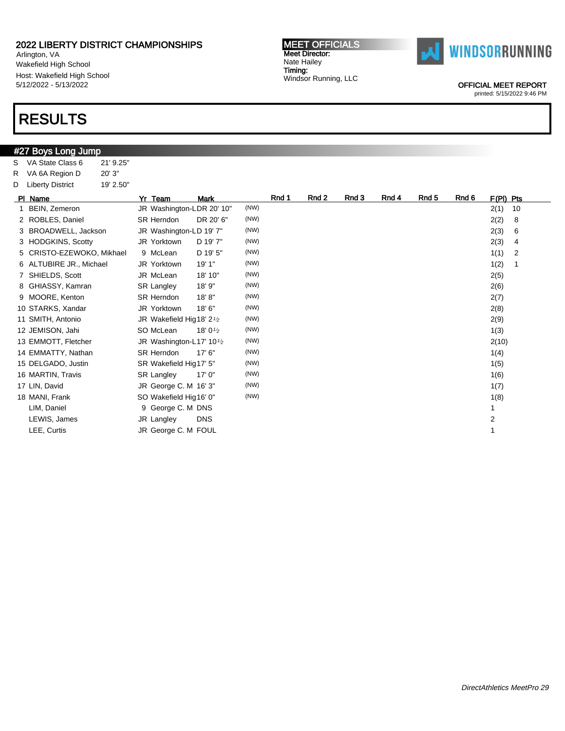Arlington, VA Wakefield High School Host: Wakefield High School 5/12/2022 - 5/13/2022

### RESULTS

#### #27 Boys Long Jump S VA State Class 6 21' 9.25" R VA 6A Region D 20' 3" D Liberty District 19' 2.50" PI Name Yr Team Mark Rnd 1 Rnd 2 Rnd 3 Rnd 4 Rnd 5 Rnd 6 F(Pl) Pts 1 BEIN, Zemeron JR Washington-LDR 20' 10" (NW) 32(1) 10 2 ROBLES, Daniel SR Herndon DR 20' 6" (NW) 2(2) 8 3 BROADWELL, Jackson JR Washington-LD 19' 7" (NW) 2(3) 6 3 HODGKINS, Scotty JR Yorktown D 19' 7" (NW) 2(3) 4 5 CRISTO-EZEWOKO, Mikhael 9 McLean D 19' 5" (NW) 16 (NW) 11 1 1 1 1 1 1 2 6 ALTUBIRE JR., Michael JR Yorktown 19' 1" (NW) 1(2) 1 7 SHIELDS, Scott JR McLean 18' 10" (NW) 2(5) 8 GHIASSY, Kamran SR Langley 18' 9" (NW) 3(6) 8 GHIASSY, Kamran 2(6) 9 MOORE, Kenton SR Herndon 18' 8" (NW) 3(7) 89 MOORE, Kenton 2(7) 10 STARKS, Xandar JR Yorktown 18' 6" (NW) 2(8) 11 SMITH, Antonio JR Wakefield Hig18' 2<sup>1/2</sup>  $(NW)$  2(9) 12 JEMISON, Jahi SO McLean 18' 0<sup>1</sup>/2  $(NW)$  1(3) 13 EMMOTT, Fletcher JR Washington-L17' 10<sup>1</sup>/2  $(NW)$  2(10) 14 EMMATTY, Nathan SR Herndon 17' 6" (NW) 1(4) 179 (NW) 15 DELGADO, Justin SR Wakefield Hig17' 5" (NW) 1(5) 1(5) 1(5) 1(5) 16 MARTIN, Travis SR Langley 17' 0" (NW) 16 MARTIN, Travis 106) 17 LIN, David JR George C. M 16' 3" (NW) 1(7) 18 MANI, Frank SO Wakefield Hig16' 0" (NW) 1(8) 16' (NW) 1(8) 1(8) LIM, Daniel **9 George C. M DNS** 1 LEWIS, James JR Langley DNS 2 LEE, Curtis **Canadian Strategie U.S. A. S. A. S. A. S. A. S. A. S. A. S. A. S. A. S. A. S. A. S. A. S. A. S. A. S. A. S. A. S. A. S. A. S. A. S. A. S. A. S. A. S. A. S. A. S. A. S. A. S. A. S. A. S. A. S. A. S. A. S. A. S.**

Meet Director: Nate Hailey Timing:

Windsor Running, LLC

MEET OFFICIALS



OFFICIAL MEET REPORT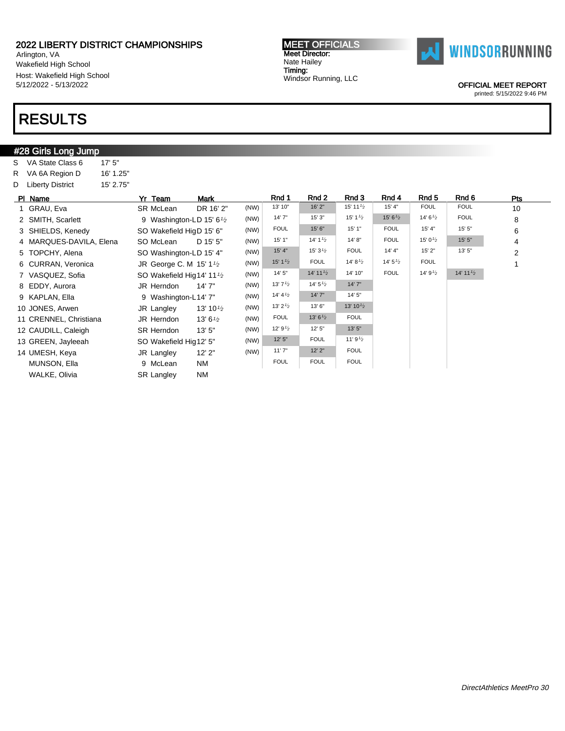Arlington, VA Wakefield High School Host: Wakefield High School 5/12/2022 - 5/13/2022

# RESULTS

#### #28 Girls Long Jump S VA State Class 6 17' 5" R VA 6A Region D 16' 1.25" D Liberty District 15' 2.75" Pl Name Yr Team Mark Rnd 1 Rnd 2 Rnd 3 Rnd 4 Rnd 5 Rnd 6 Pts 1 GRAU, Eva SR McLean DR 16' 2" (NW) <sup>13' 10"</sup> 16' 2" 15' 11<sup>1</sup> 2 15' 4" FOUL 10 2 SMITH, Scarlett 9 Washington-LD 15' 6<sup>1</sup>/<sub>2</sub>  $(NW)$  14' 7" 15' 3" 15' 1<sup>1/2</sup> 15' 6<sup>1</sup>/2 14' 6<sup>1</sup>/2 FOUL 8 3 SHIELDS, Kenedy SO Wakefield HigD 15' 6" (NW) FOUL 15' 6" 15' 1" FOUL 15' 4" 15' 5" 6<br>4 MAROUES DAVILA FIODR SO Mologn D 15' 5" (NW) 15' 1" 14' 1<sup>19</sup> 14' 8" FOUL 15' 0<sup>1</sup> 2 15' 5" 1 4 MARQUES-DAVILA, Elena SO McLean D 15' 5" (NW) | 15' 1" | 14' 1<sup>1</sup>2 | 14' 8" | FOUL | 15' 0<sup>1</sup>2 | 15' 5" | 4 5 TOPCHY, Alena SO Washington-LD 15' 4" (NW) 15' 4" 15' 31/<sup>2</sup> FOUL 14' 4" 15' 2" 13' 5" 2 6 CURRAN, Veronica JR George C. M 15' 11/<sup>2</sup> (NW)  $15'1'2$  FOUL  $14'8'2$   $14'5'2$  FOUL 1 7 VASQUEZ, Sofia SO Wakefield Hig14' 11<sup>1</sup>/2  $(NW)$  14' 5" 14' 11<sup>1</sup><sup>2</sup> 14' 10" FOUL 14' 9<sup>1</sup><sup>2</sup> 14' 11<sup>1</sup><sup>2</sup> 8 EDDY, Aurora JR Herndon 14' 7" (NW) 13' 71/<sup>2</sup> 14' 51/<sup>2</sup> 14' 7" 9 KAPLAN, Ella 9 Washington-L14' 7" (NW) 14' 41/<sup>2</sup> 14' 7" 14' 5" 10 JONES, Arwen JR Langley 13' 10<sup>1</sup>/2  $(NW)$  13' 2<sup>1</sup>/<sub>2</sub> 13' 6" 11 CRENNEL, Christiana JR Herndon 13' 6<sup>1</sup>/<sub>2</sub>  $(NW)$  FOUL 13' 6<sup>1</sup>/<sub>2</sub> FOUL 12 CAUDILL, Caleigh SR Herndon  $13'5''$  (NW)  $12'9^{1/2}$   $12'5''$   $13'5''$   $13'5''$   $13'5''$   $14'9'2$ 13 GREEN, Jayleeah SO Wakefield Hig12' 5" (NW) 14 UMESH, Keya JR Langley 12' 2" (NW) 11' 7" 12' 2" FOUL MUNSON, Ella 9 McLean NM FOUL FOUL FOUL WALKE, Olivia SR Langley NM

OFFICIAL MEET REPORT printed: 5/15/2022 9:46 PM



MEET OFFICIALS Meet Director: Nate Hailey Timing: Windsor Running, LLC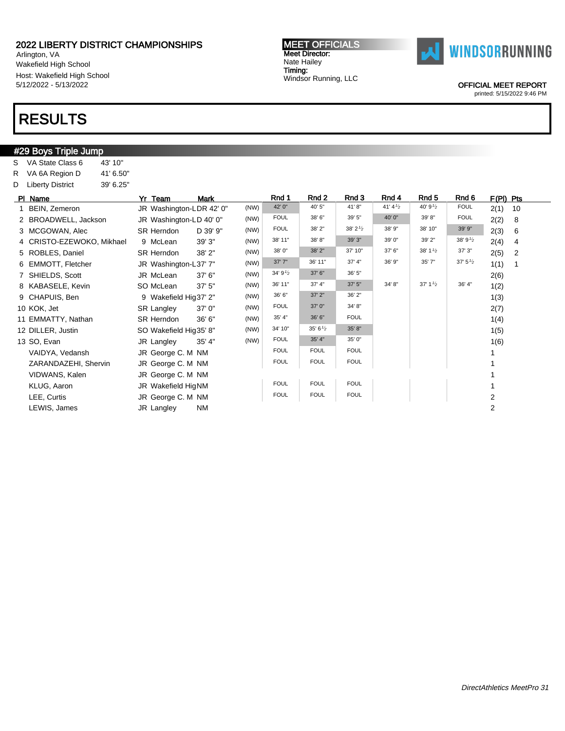Arlington, VA Wakefield High School Host: Wakefield High School 5/12/2022 - 5/13/2022

### RESULTS

#### #29 Boys Triple Jump S VA State Class 6 43' 10" R VA 6A Region D 41' 6.50" D Liberty District 39' 6.25" PIName **Yr Team Mark Rnd 1 Rnd 2 Rnd 3 Rnd 4 Rnd 5** Rnd 6 F(PI) Pts 1 BEIN, Zemeron JR Washington-LDR 42' 0" (NW) 42' 0" 40' 5" 41' 8" 41' 41/<sup>2</sup> 40' 91/<sup>2</sup> FOUL 2(1) 10 2 BROADWELL, Jackson JR Washington-LD 40' 0" (NW) FOUL 38' 6" 39' 5" 40' 0" 39' 8" FOUL 2(2) 8<br>2 MCCOWAN Aloc SB Horndon D 20' 0" (NW) FOUL 38' 2" 38' 2" 38' 9" 38' 10" 39' 9" 2(2) 6 3 MCGOWAN, Alec SR Herndon D 39' 9" (NW) FOUL 38' 2" 38' 38' 38' 38' 38' 10" 39' 9" 2(3) 6<br>4 C BISTO EZEWOKO Mikhael 9 Meloan 20' 2" (NW) 38' 11" 38' 8" 39' 3" 39' 0" 39' 2" 38' 9" 2(4) 4 4 CRISTO-EZEWOKO, Mikhael 9 McLean 39' 3" (NW)  $38' 11"$   $38' 8"$   $39' 3"$   $39' 3"$   $39' 2"$   $39' 2"$   $39' 3"$   $2(4)$  4 5 ROBLES, Daniel SR Herndon 38' 2" (NW) <sup>38' 0"</sup> <sup>38' 2"</sup> <sup>37' 10" 37' 6" <sup>38' 11</sup><sup>2</sup> 37' 3" 2(5) 2<br>6 EMMOTE Eletabor 19 Noobjected 1.27' 7" (NM) 37' 7" 36' 11" 37' 4" 36' 9" 35' 7" 37' 5<sup>1</sup>/<sub>2</sub> 4' 4'</sup> 6 EMMOTT, Fletcher JR Washington-L37' 7" (NW)  $\frac{37'7''}{36'31''}$   $\frac{36'11''}{37'4''}$   $\frac{36'9''}{36'9''}$   $\frac{35'7''}{37'5'2}$   $\frac{37'5'2}{1(1)}$  1 7 SHIELDS, Scott JR McLean 37' 6" (NW)  $3^{4'9^{1/2}}$   $3^{7'6}$   $3^{7'6}$   $3^{8'5}$   $3^{10'5}$   $3^{10'2}$   $3^{10'3''}$   $3^{10'3''}$   $3^{10'3''}$   $3^{10'3''}$   $3^{10'3''}$   $3^{10'3''}$   $3^{10'3''}$   $3^{10'3''}$   $3^{10'3''}$   $3^{10'3''}$   $3^{10'3''}$  8 KABASELE, Kevin SO McLean 37' 5" (NW)  $36' 11"$   $37' 4"$   $37' 5"$   $34' 8"$   $37' 1<sup>1</sup>2$   $36' 4"$  1(2)<br>9 CHADHIS Bon 9 Mokofield Hig 37' 2" 37'  $2"$   $36' 2"$   $36' 2"$   $37' 3"$   $37' 1<sup>1</sup>2$   $36' 4"$   $37' 3$ 9 CHAPUIS, Ben 9 Wakefield Hig37' 2" (NW) 36' 6" 37' 2" 36' 2" 1(3) 10 KOK, Jet SR Langley 37' 0" (NW) FOUL 37' 0" 34' 8" 2(7) 11 EMMATTY, Nathan SR Herndon 36' 6" (NW) 35' 4" 36' 6" FOUL 1(4) 12 DILLER, Justin SO Wakefield Hig35' 8" (NW)  $34'10''$   $35'6^{1/2}$   $35'8''$  1(5)  $1(5)$ <br>12 SO Even IP Langley  $35'4''$  (NW) FOUL  $35'4''$   $35'0''$   $1(6)$ 13 SO, Evan JR Langley 35' 4" (NW) FOUL 35' 4" 35' 0" 1(6) VAIDYA, Vedansh JR George C. M NM FOUL FOUL FOUL 1 ZARANDAZEHI, Shervin JR George C. M NM FOUL FOUL FOUL FOUL FOUL TO THE STATE 1 VIDWANS, Kalen **JR George C. M NM 1** 1 KLUG, Aaron JR Wakefield HigNM FOUL FOUL FOUL 1 LEE, Curtis **Carris Community Community Community Community** Foul Foul Foul Foul Poul 2 LEWIS, James JR Langley NM 2

MEET OFFICIALS Meet Director: Nate Hailey Timing:

Windsor Running, LLC

**WINDSORRUNNING** 

OFFICIAL MEET REPORT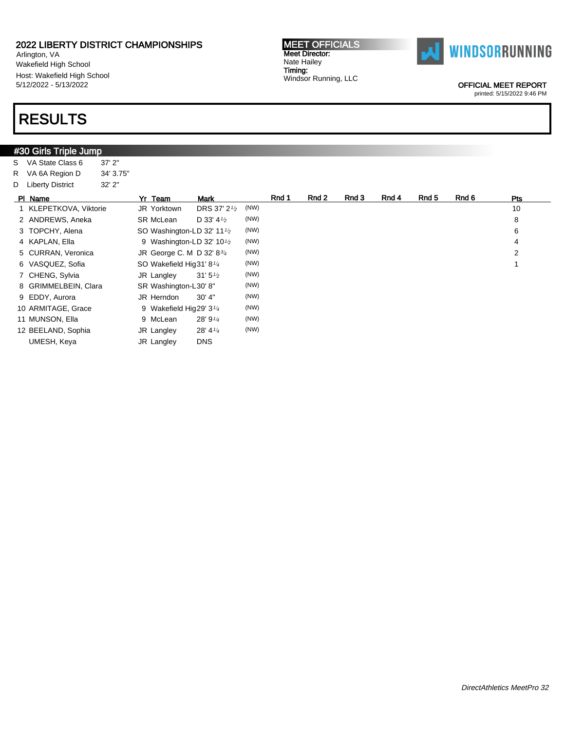Arlington, VA Wakefield High School Host: Wakefield High School 5/12/2022 - 5/13/2022

### RESULTS

#### **#30 Girls Triple Jump** S VA State Class 6 37' 2" R VA 6A Region D 34' 3.75" D Liberty District 32' 2" Pl Name Yr Team Mark Rnd 1 Rnd 2 Rnd 3 Rnd 4 Rnd 5 Rnd 6 Pts 1 KLEPETKOVA, Viktorie JR Yorktown DRS 37' 21/<sup>2</sup>  $(NW)$  10 2 ANDREWS, Aneka SR McLean D 33' 4<sup>1</sup>/<sub>2</sub>  $(WW)$  8 3 TOPCHY, Alena SO Washington-LD 32' 11<sup>1/2</sup> (NW) 6 4 KAPLAN, Ella 9 Washington-LD 32' 10<sup>1</sup>/2  $(NW)$  4 5 CURRAN, Veronica JR George C. M D 32' 83/<sup>4</sup>  $(NW)$  2 6 VASQUEZ, Sofia SO Wakefield Hig31' 81/<sup>4</sup>  $(NW)$  1 7 CHENG, Sylvia JR Langley 31' 5<sup>1/2</sup> (NW) 8 GRIMMELBEIN, Clara SR Washington-L30' 8" (NW) 9 EDDY, Aurora **JR Herndon** 30' 4" (NW) 10 ARMITAGE, Grace 9 Wakefield Hig29' 3<sup>1/4</sup> (NW) 11 MUNSON, Ella 9 McLean 28' 9<sup>1/4</sup> (NW) 12 BEELAND, Sophia JR Langley 28' 41/<sup>4</sup> (NW) UMESH, Keya JR Langley DNS



Meet Director: Nate Hailey Timing: Windsor Running, LLC

MEET OFFICIALS

OFFICIAL MEET REPORT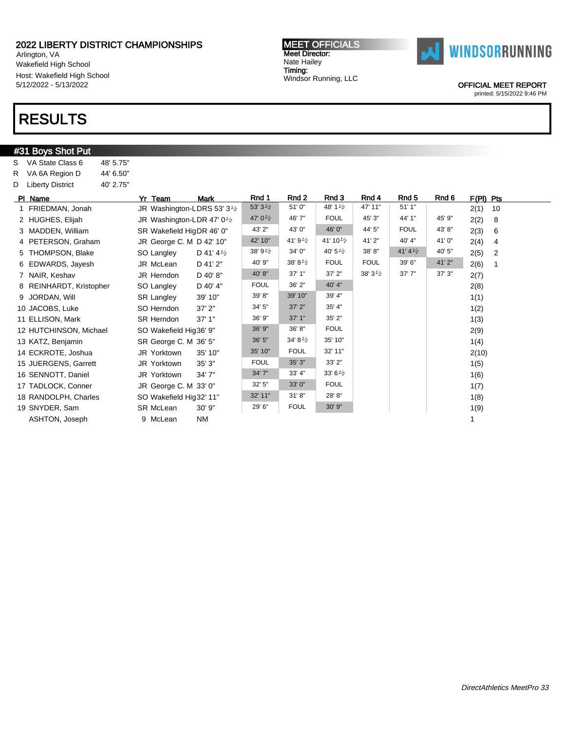Arlington, VA Wakefield High School Host: Wakefield High School 5/12/2022 - 5/13/2022

### RESULTS

#### #31 Boys Shot Put S VA State Class 6 48' 5.75" R VA 6A Region D 44' 6.50" D Liberty District 40' 2.75" PIName **Yr Team Mark Rnd 1 Rnd 2 Rnd 3 Rnd 4 Rnd 5** Rnd 6 F(PI) Pts 1 FRIEDMAN, Jonah JR Washington-LDRS 53' 3<sup>1/2</sup> 53' 3 $^{1/2}$  51' 0" 48' 1 $^{1/2}$  47' 11" 51' 1" 2(1) 10 2 HUGHES, Elijah JR Washington-LDR 47' 0<sup>1</sup>/2 47' 01/<sup>2</sup> 46' 7" FOUL 45' 3" 44' 1" 45' 9" 2(2) 8 3 MADDEN, William SR Wakefield HigDR 46' 0" 43' 2" 43' 0" 46' 0" 44' 5" FOUL 43' 8" 2(3) 6 4 PETERSON, Graham JR George C. M D 42' 10"  $42'$  10"  $41'$  9<sup>1</sup>/<sub>2</sub>  $41'$  10<sup>1</sup>/<sub>2</sub>  $41'$  2"  $40'$  4"  $41'$  0"  $2(4)$  4 5 THOMPSON, Blake SO Langley D 41' 4<sup>1</sup>/<sub>2</sub>  $38^\prime\,9^{1/2}$  34' 0" 40' 5 $^{1/2}$  38' 8" 41' 4 $^{1/2}$  40' 5" 2(5) 2 6 EDWARDS, Jayesh JR McLean D 41' 2"  $40'9''$  38' 81<sup>/2</sup> FOUL FOUL 39' 6"  $41'2''$  2(6) 1 7 NAIR, Keshav JR Herndon D 40' 8" 40' 8" 37' 1" 37' 2" 38' 31/<sup>2</sup> 37' 7" 37' 3" 2(7) 8 REINHARDT, Kristopher SO Langley D 40' 4" FOUL 36' 2" 40' 4" | 2(8) 9 JORDAN, Will SR Langley 39' 10" 39' 8" 39' 10" 39' 4" 1(1) 10 JACOBS, Luke SO Herndon 37' 2" 34' 5" 37' 2" 35' 4" 1(2) 11 ELLISON, Mark SR Herndon 37' 1" 36' 9" 37' 1" 35' 2" 13) 12 HUTCHINSON, Michael SO Wakefield Hig36' 9" 36' 9" 36' 8" FOUL | POUL | POUL | POUL | POUL | POUL | POUL | P 13 KATZ, Benjamin SR George C. M 36' 5" 34' 8<sup>1</sup>2 35' 10" NATZ, Benjamin 1(4) 14 ECKROTE, Joshua JR Yorktown 35' 10" 35' 10" FOUL 32' 11" 2(10) 15 JUERGENS, Garrett JR Yorktown 35' 3" FOUL 35' 3" 33' 2" 1(5) 16 SENNOTT, Daniel JR Yorktown 34' 7" 34' 7" 33' 4" 33' 61/<sup>2</sup> 1(6) 17 TADLOCK, Conner JR George C. M 33' 0" 32' 5" 33' 0" FOUL 1(7) 18 RANDOLPH, Charles SO Wakefield Hig32' 11" 32' 11" 31' 8" 28' 8" | 28' 8" | | | | | | | | | | | | | | | | | | 19 SNYDER, Sam SR McLean 30' 9" 29' 6" FOUL 30' 9" 1(9) ASHTON, Joseph 9 McLean NM 1

MEET OFFICIALS Meet Director: Nate Hailey Timing: Windsor Running, LLC



OFFICIAL MEET REPORT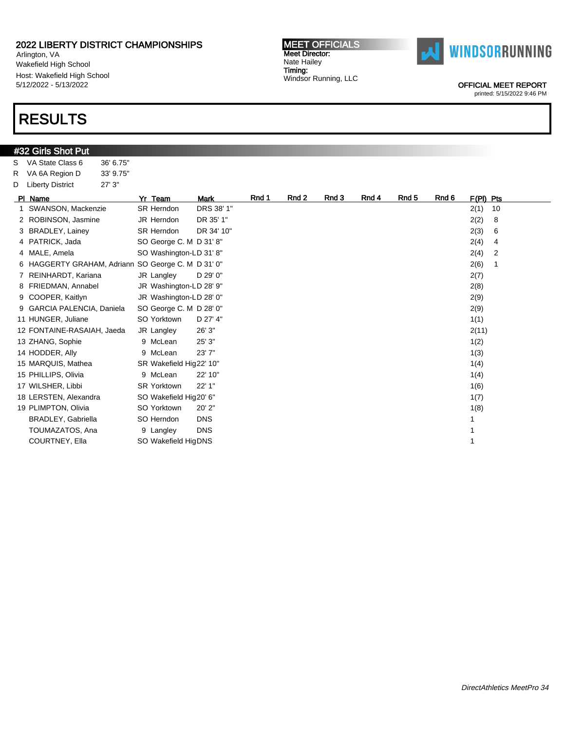Arlington, VA Wakefield High School Host: Wakefield High School 5/12/2022 - 5/13/2022

### RESULTS

#### **#32 Girls Shot Put** S VA State Class 6 36' 6.75" R VA 6A Region D 33' 9.75" D Liberty District 27' 3" Pl Name **Yr Team Mark Rnd 1 Rnd 2 Rnd 3 Rnd 4 Rnd 5** Rnd 6 F(Pl) Pts 1 SWANSON, Mackenzie SR Herndon DRS 38' 1" 2(1) 10 2 ROBINSON, Jasmine JR Herndon DR 35' 1" 2(2) 8 3 BRADLEY, Lainey SR Herndon DR 34' 10" 2(3) 6 4 PATRICK, Jada SO George C. M D 31' 8" 2(4) 4 4 MALE, Amela SO Washington-LD 31' 8" 2(4) 2 6 HAGGERTY GRAHAM, Adriann SO George C. M D 31' 0" 2(6) 1 7 REINHARDT, Kariana JR Langley D 29' 0" 2(7) 8 FRIEDMAN, Annabel JR Washington-LD 28' 9" <br>
2(8) 9 COOPER, Kaitlyn JR Washington-LD 28' 0" 2(9) 9 GARCIA PALENCIA, Daniela SO George C. M D 28' 0" 2(9) 11 HUNGER, Juliane SO Yorktown D 27' 4" 1(1) 12 FONTAINE-RASAIAH, Jaeda JR Langley 26' 3" 2(11) 13 ZHANG, Sophie 9 McLean 25' 3" 1(2) 14 HODDER, Ally 9 McLean 23' 7" 1(3) 15 MARQUIS, Mathea SR Wakefield Hig22' 10" 1(4) 169 Matheurs and the SR Wakefield Hig22' 10" 15 PHILLIPS, Olivia 1(4) 9 McLean 22' 10" 1(5) 1(5) 1(5) 1(4) 1(4) 17 WILSHER, Libbi SR Yorktown 22' 1" 1(6) 18 LERSTEN, Alexandra SO Wakefield Hig20' 6" 1(7) 19 PLIMPTON, Olivia SO Yorktown 20' 2" 1(8) BRADLEY, Gabriella SO Herndon DNS 1 TOUMAZATOS, Ana 19 Langley DNS 1 COURTNEY, Ella SO Wakefield HigDNS 1

MEET OFFICIALS Meet Director: Nate Hailey Timing: Windsor Running, LLC



OFFICIAL MEET REPORT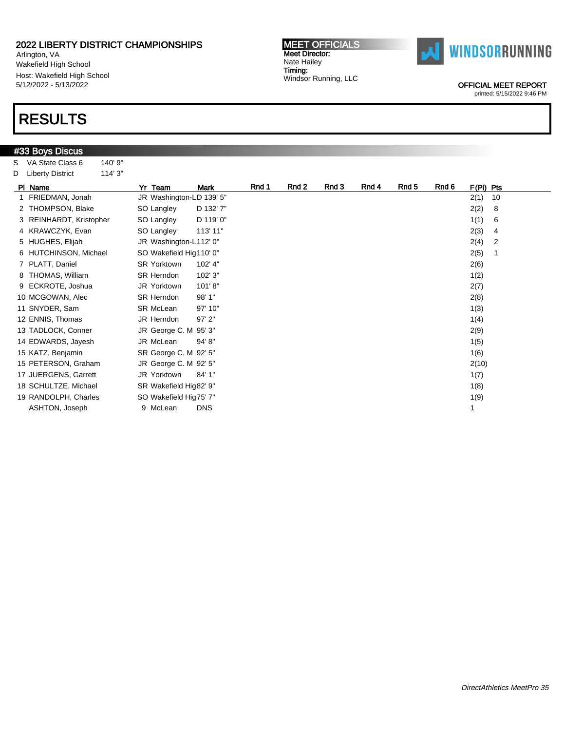Arlington, VA Wakefield High School Host: Wakefield High School 5/12/2022 - 5/13/2022

### RESULTS

|   | #33 Boys Discus         |         |                          |             |       |       |       |       |       |       |             |
|---|-------------------------|---------|--------------------------|-------------|-------|-------|-------|-------|-------|-------|-------------|
| s | VA State Class 6        | 140' 9" |                          |             |       |       |       |       |       |       |             |
|   | D Liberty District      | 114' 3" |                          |             |       |       |       |       |       |       |             |
|   | PI Name                 |         | Yr Team                  | <b>Mark</b> | Rnd 1 | Rnd 2 | Rnd 3 | Rnd 4 | Rnd 5 | Rnd 6 | $F(PI)$ Pts |
|   | 1 FRIEDMAN, Jonah       |         | JR Washington-LD 139' 5" |             |       |       |       |       |       |       | 2(1)        |
|   | 2 THOMPSON, Blake       |         | SO Langley               | D 132' 7"   |       |       |       |       |       |       | 2(2)        |
|   | 3 REINHARDT, Kristopher |         | SO Langley               | D 119' 0"   |       |       |       |       |       |       | 1(1)        |
|   | 4 KRAWCZYK, Evan        |         | SO Langley               | 113' 11"    |       |       |       |       |       |       | 2(3)        |
|   | 5 HUGHES, Elijah        |         | JR Washington-L112' 0"   |             |       |       |       |       |       |       | 2(4)        |
|   | 6 HUTCHINSON, Michael   |         | SO Wakefield Hig110' 0"  |             |       |       |       |       |       |       | 2(5)        |
|   | 7 PLATT, Daniel         |         | <b>SR Yorktown</b>       | 102' 4"     |       |       |       |       |       |       | 2(6)        |
|   | 8 THOMAS, William       |         | <b>SR Herndon</b>        | 102' 3"     |       |       |       |       |       |       | 1(2)        |
|   | 9 ECKROTE, Joshua       |         | JR Yorktown              | 101'8"      |       |       |       |       |       |       | 2(7)        |
|   | 10 MCGOWAN, Alec        |         | <b>SR Herndon</b>        | 98' 1"      |       |       |       |       |       |       | 2(8)        |
|   | 11 SNYDER, Sam          |         | SR McLean                | 97' 10"     |       |       |       |       |       |       | 1(3)        |
|   | 12 ENNIS, Thomas        |         | JR Herndon               | 97' 2"      |       |       |       |       |       |       | 1(4)        |
|   | 13 TADLOCK, Conner      |         | JR George C. M 95' 3"    |             |       |       |       |       |       |       | 2(9)        |
|   | 14 EDWARDS, Jayesh      |         | JR McLean                | 94'8"       |       |       |       |       |       |       | 1(5)        |
|   | 15 KATZ, Benjamin       |         | SR George C. M 92' 5"    |             |       |       |       |       |       |       | 1(6)        |
|   | 15 PETERSON, Graham     |         | JR George C. M 92' 5"    |             |       |       |       |       |       |       | 2(10)       |
|   | 17 JUERGENS, Garrett    |         | JR Yorktown              | 84' 1"      |       |       |       |       |       |       | 1(7)        |
|   | 18 SCHULTZE, Michael    |         | SR Wakefield Hig82' 9"   |             |       |       |       |       |       |       | 1(8)        |
|   | 19 RANDOLPH, Charles    |         | SO Wakefield Hig75' 7"   |             |       |       |       |       |       |       | 1(9)        |
|   | ASHTON, Joseph          |         | 9 McLean                 | <b>DNS</b>  |       |       |       |       |       |       | 1           |

MEET OFFICIALS Meet Director: Nate Hailey Timing: Windsor Running, LLC



OFFICIAL MEET REPORT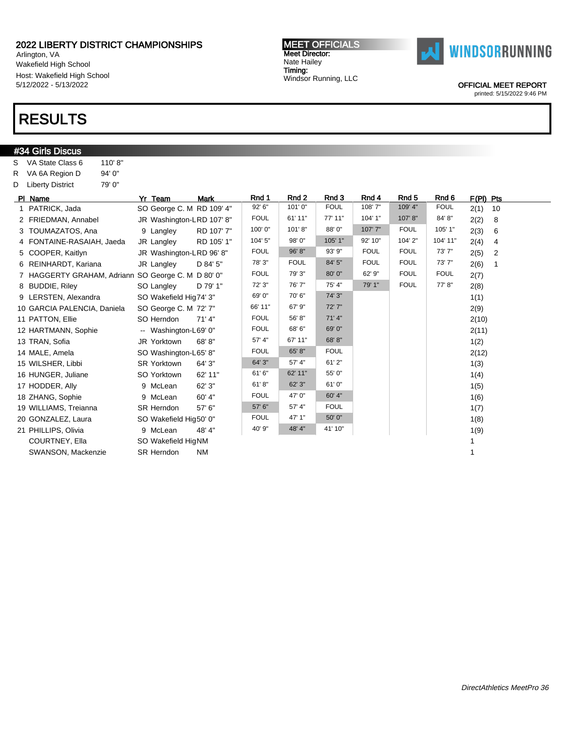Arlington, VA Wakefield High School Host: Wakefield High School 5/12/2022 - 5/13/2022

### RESULTS

#### #34 Girls Discus S VA State Class 6 110' 8" R VA 6A Region D 94' 0" D Liberty District 79' 0" PIName **Yr Team Mark Rnd 1 Rnd 2 Rnd 3 Rnd 4 Rnd 5** Rnd 6 F(PI) Pts 1 PATRICK, Jada SO George C. M RD 109' 4" | 92' 6" | 101' 0" | FOUL | 108' 7" | 109' 4" | FOUL 2(1) 10 2 FRIEDMAN, Annabel JR Washington-LRD 107' 8" FOUL 61' 11" 77' 11" 104' 1" 107' 8" 84' 8" 2(2) 8 3 TOUMAZATOS, Ana 9 Langley RD 107' 7" 100' 0" 101' 8" 88' 0" 107' 7" FOUL 105' 1" 2(3) 6 4 FONTAINE-RASAIAH, Jaeda JR Langley RD 105' 1" 104' 5" 98' 0" 105' 1" 92' 10" 104' 2" 104' 11" 2(4) 4 5 COOPER, Kaitlyn JR Washington-LRD 96' 8" | FOUL 96' 8" | 93' 9" | FOUL | FOUL | 73' 7" | 2(5) 2 6 REINHARDT, Kariana JR Langley D 84' 5" 78' 3" FOUL 84' 5" FOUL FOUL 73' 7" 2(6) 1 7 HAGGERTY GRAHAM, Adriann SO George C. M D 80' 0" | FOUL | 79' 3" | 80' 0" | 62' 9" | FOUL | FOUL 2(7) 8 BUDDIE, Riley SO Langley D 79' 1" 72' 3" 76' 7" 75' 4" 79' 1" FOUL 77' 8" 2(8) 9 LERSTEN, Alexandra SO Wakefield Hig74' 3"  $69'0"$  70' 6" 74' 3" 1(1) 10 GARCIA PALENCIA, Daniela SO George C. M 72' 7" 66' 11" 67' 9" 72' 7" 21' 7" 2(9) 11 PATTON, Ellie SO Herndon 71' 4" FOUL 56' 8" 71' 4" 2(10) 12 HARTMANN, Sophie -- Washington-L69' 0" FOUL 68' 6" 69' 0" | 2(11) 13 TRAN, Sofia JR Yorktown 68' 8" <sup>57' 4"</sup> <sup>67' 11"</sup> <sup>68' 8"</sup> 1(2) 14 MALE, Amela SO Washington-L65' 8" FOUL 65' 8" FOUL 2(12) 15 WILSHER, Libbi SR Yorktown 64' 3" 64' 3" 57' 4" 61' 2" 1(3) 16 HUNGER, Juliane SO Yorktown 62' 11" 61' 62' 11" 55' 0" 1(4) 17 HODDER, Ally 9 McLean 62' 3" 61' 8" 62' 3" 61' 0" 1(5) 18 ZHANG, Sophie 9 McLean 60' 4" FOUL 47' 0" 60' 4" 1(6) 19 WILLIAMS, Treianna SR Herndon 57' 6" 57' 6" 57' 4" FOUL 100 (7) 57' 4" | 1(7) 20 GONZALEZ, Laura SO Wakefield Hig50' 0" FOUL 47' 1" | 50' 0" | 1(8) | 1(8) 21 PHILLIPS, Olivia **9 McLean 48' 4"** 40' 9" 48' 4" 41' 10" 1(9) COURTNEY, Ella SO Wakefield HigNM 1 SWANSON, Mackenzie SR Herndon NM 1

MEET OFFICIALS Meet Director: Nate Hailey Timing:

Windsor Running, LLC

**WINDSORRUNNING** 

OFFICIAL MEET REPORT

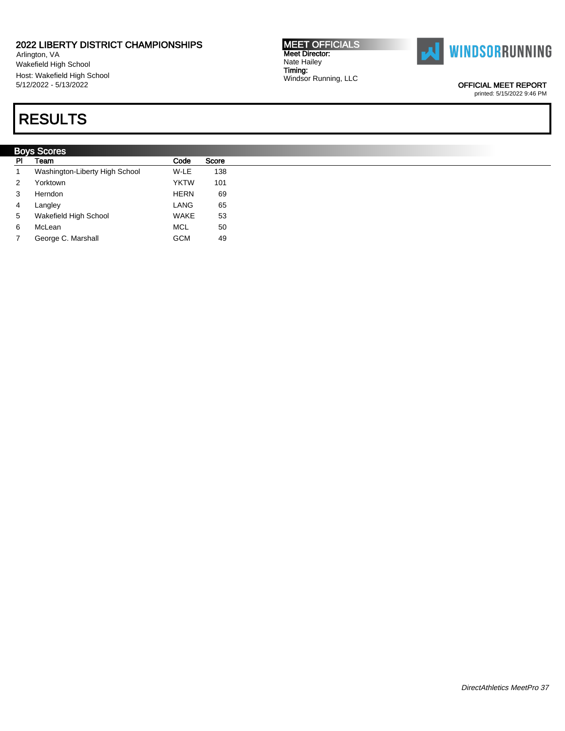Arlington, VA Wakefield High School Host: Wakefield High School 5/12/2022 - 5/13/2022

# RESULTS

|           | <b>Boys Scores</b>             |             |       |  |  |  |  |
|-----------|--------------------------------|-------------|-------|--|--|--|--|
| <b>PI</b> | Team                           | Code        | Score |  |  |  |  |
|           | Washington-Liberty High School | W-LE        | 138   |  |  |  |  |
| 2         | Yorktown                       | <b>YKTW</b> | 101   |  |  |  |  |
| 3         | Herndon                        | <b>HERN</b> | 69    |  |  |  |  |
| 4         | Langley                        | LANG        | 65    |  |  |  |  |
| 5         | Wakefield High School          | WAKE        | 53    |  |  |  |  |
| 6         | McLean                         | <b>MCL</b>  | 50    |  |  |  |  |
| 7         | George C. Marshall             | <b>GCM</b>  | 49    |  |  |  |  |

MEET OFFICIALS Meet Director: Nate Hailey Timing: Windsor Running, LLC



OFFICIAL MEET REPORT printed: 5/15/2022 9:46 PM